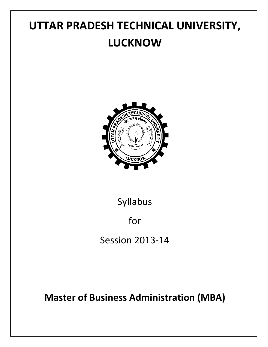# **UTTAR PRADESH TECHNICAL UNIVERSITY, LUCKNOW**



# Syllabus

# for

Session 2013-14

# **Master of Business Administration (MBA)**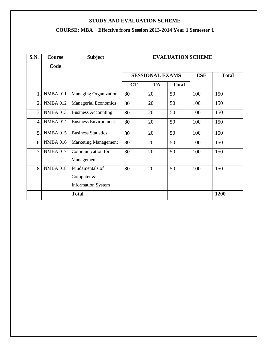# **COURSE: MBA Effective from Session 2013-2014 Year 1 Semester 1**

| <b>S.N.</b>      | <b>Course</b>   | <b>Subject</b>                                               | <b>EVALUATION SCHEME</b> |                        |              |            |              |  |
|------------------|-----------------|--------------------------------------------------------------|--------------------------|------------------------|--------------|------------|--------------|--|
|                  | Code            |                                                              |                          |                        |              |            |              |  |
|                  |                 |                                                              |                          | <b>SESSIONAL EXAMS</b> |              | <b>ESE</b> | <b>Total</b> |  |
|                  |                 |                                                              | <b>CT</b>                | <b>TA</b>              | <b>Total</b> |            |              |  |
| $\mathbf{1}$     | <b>NMBA 011</b> | Managing Organization                                        | 30                       | 20                     | 50           | 100        | 150          |  |
| $\overline{2}$ . | <b>NMBA 012</b> | <b>Managerial Economics</b>                                  | 30                       | 20                     | 50           | 100        | 150          |  |
| 3.               | <b>NMBA 013</b> | <b>Business Accounting</b>                                   | 30                       | 20                     | 50           | 100        | 150          |  |
| 4.               | <b>NMBA 014</b> | <b>Business Environment</b>                                  | 30                       | 20                     | 50           | 100        | 150          |  |
| 5.               | <b>NMBA 015</b> | <b>Business Statistics</b>                                   | 30                       | 20                     | 50           | 100        | 150          |  |
| 6.               | <b>NMBA 016</b> | <b>Marketing Management</b>                                  | 30                       | 20                     | 50           | 100        | 150          |  |
| 7.               | <b>NMBA 017</b> | Communication for<br>Management                              | 30                       | 20                     | 50           | 100        | 150          |  |
| 8.               | <b>NMBA 018</b> | Fundamentals of<br>Computer $&$<br><b>Information System</b> | 30                       | 20                     | 50           | 100        | 150          |  |
|                  |                 | <b>Total</b>                                                 |                          |                        |              |            | 1200         |  |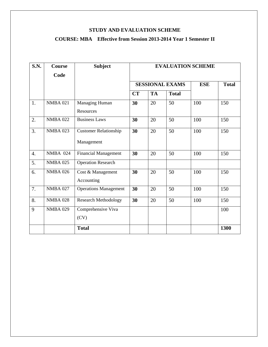# **COURSE: MBA Effective from Session 2013-2014 Year 1 Semester II**

| <b>S.N.</b>      | <b>Course</b>   | <b>Subject</b>               | <b>EVALUATION SCHEME</b> |           |              |            |              |
|------------------|-----------------|------------------------------|--------------------------|-----------|--------------|------------|--------------|
|                  | Code            |                              |                          |           |              |            |              |
|                  |                 |                              | <b>SESSIONAL EXAMS</b>   |           |              | <b>ESE</b> | <b>Total</b> |
|                  |                 |                              | CT                       | <b>TA</b> | <b>Total</b> |            |              |
| 1.               | <b>NMBA 021</b> | Managing Human               | 30                       | 20        | 50           | 100        | 150          |
|                  |                 | Resources                    |                          |           |              |            |              |
| 2.               | <b>NMBA 022</b> | <b>Business Laws</b>         | 30                       | 20        | 50           | 100        | 150          |
| 3.               | <b>NMBA 023</b> | <b>Customer Relationship</b> | 30                       | 20        | 50           | 100        | 150          |
|                  |                 | Management                   |                          |           |              |            |              |
| $\overline{4}$ . | <b>NMBA 024</b> | <b>Financial Management</b>  | 30                       | 20        | 50           | 100        | 150          |
| 5.               | <b>NMBA 025</b> | <b>Operation Research</b>    |                          |           |              |            |              |
| 6.               | <b>NMBA 026</b> | Cost & Management            | 30                       | 20        | 50           | 100        | 150          |
|                  |                 | Accounting                   |                          |           |              |            |              |
| 7.               | <b>NMBA 027</b> | <b>Operations Management</b> | 30                       | 20        | 50           | 100        | 150          |
| 8.               | <b>NMBA 028</b> | <b>Research Methodology</b>  | 30                       | 20        | 50           | 100        | 150          |
| 9                | <b>NMBA 029</b> | Comprehensive Viva           |                          |           |              |            | 100          |
|                  |                 | (CV)                         |                          |           |              |            |              |
|                  |                 | <b>Total</b>                 |                          |           |              |            | 1300         |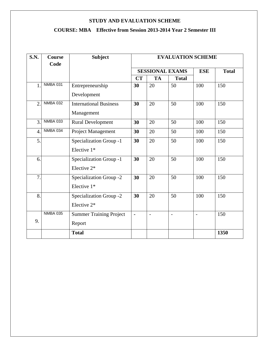# **COURSE: MBA Effective from Session 2013-2014 Year 2 Semester III**

| <b>S.N.</b>    | <b>Course</b><br>Code | <b>Subject</b>                 | <b>EVALUATION SCHEME</b>     |           |              |            |              |
|----------------|-----------------------|--------------------------------|------------------------------|-----------|--------------|------------|--------------|
|                |                       |                                | <b>SESSIONAL EXAMS</b>       |           |              | <b>ESE</b> | <b>Total</b> |
|                |                       |                                | CT                           | <b>TA</b> | <b>Total</b> |            |              |
| $\mathbf{1}$   | <b>NMBA 031</b>       | Entrepreneurship               | 30                           | 20        | 50           | 100        | 150          |
|                |                       | Development                    |                              |           |              |            |              |
| $\overline{2}$ | <b>NMBA 032</b>       | <b>International Business</b>  | 30                           | 20        | 50           | 100        | 150          |
|                |                       | Management                     |                              |           |              |            |              |
| 3.             | <b>NMBA 033</b>       | <b>Rural Development</b>       | 30                           | 20        | 50           | 100        | 150          |
| 4.             | <b>NMBA 034</b>       | Project Management             | 30                           | 20        | 50           | 100        | 150          |
| 5.             |                       | Specialization Group -1        | 30                           | 20        | 50           | 100        | 150          |
|                |                       | Elective 1*                    |                              |           |              |            |              |
| 6.             |                       | Specialization Group -1        | 30                           | 20        | 50           | 100        | 150          |
|                |                       | Elective 2*                    |                              |           |              |            |              |
| 7.             |                       | Specialization Group -2        | 30                           | 20        | 50           | 100        | 150          |
|                |                       | Elective 1*                    |                              |           |              |            |              |
| 8.             |                       | Specialization Group -2        | 30                           | 20        | 50           | 100        | 150          |
|                |                       | Elective 2*                    |                              |           |              |            |              |
|                | <b>NMBA 035</b>       | <b>Summer Training Project</b> | $\qquad \qquad \blacksquare$ |           |              |            | 150          |
| 9.             |                       | Report                         |                              |           |              |            |              |
|                |                       | <b>Total</b>                   |                              |           |              |            | 1350         |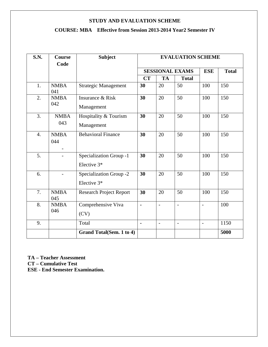# **COURSE: MBA Effective from Session 2013-2014 Year2 Semester IV**

| <b>S.N.</b>      | Course<br>Code                                 | <b>Subject</b>                         | <b>EVALUATION SCHEME</b> |                          |                          |                          |              |
|------------------|------------------------------------------------|----------------------------------------|--------------------------|--------------------------|--------------------------|--------------------------|--------------|
|                  |                                                |                                        | <b>SESSIONAL EXAMS</b>   |                          |                          | <b>ESE</b>               | <b>Total</b> |
|                  |                                                |                                        | CT                       | <b>TA</b>                | <b>Total</b>             |                          |              |
| 1.               | <b>NMBA</b><br>041                             | Strategic Management                   | 30                       | 20                       | 50                       | 100                      | 150          |
| 2.               | <b>NMBA</b><br>042                             | Insurance & Risk<br>Management         | 30                       | 20                       | 50                       | 100                      | 150          |
| 3.               | <b>NMBA</b><br>043                             | Hospitality & Tourism<br>Management    | 30                       | 20                       | 50                       | 100                      | 150          |
| $\overline{4}$ . | <b>NMBA</b><br>044<br>$\overline{\phantom{a}}$ | <b>Behavioral Finance</b>              | 30                       | 20                       | 50                       | 100                      | 150          |
| 5.               |                                                | Specialization Group -1<br>Elective 3* | 30                       | 20                       | 50                       | 100                      | 150          |
| 6.               |                                                | Specialization Group -2<br>Elective 3* | 30                       | 20                       | 50                       | 100                      | 150          |
| 7.               | <b>NMBA</b><br>045                             | <b>Research Project Report</b>         | 30                       | 20                       | 50                       | 100                      | 150          |
| 8.               | <b>NMBA</b><br>046                             | Comprehensive Viva<br>(CV)             | $\blacksquare$           | $\overline{\phantom{a}}$ | $\overline{\phantom{0}}$ | $\overline{\phantom{a}}$ | 100          |
| 9.               |                                                | Total                                  | $\blacksquare$           | $\overline{\phantom{a}}$ | $\overline{\phantom{a}}$ | $\overline{\phantom{a}}$ | 1150         |
|                  |                                                | Grand Total(Sem. 1 to 4)               |                          |                          |                          |                          | 5000         |

**TA – Teacher Assessment CT – Cumulative Test ESE - End Semester Examination.**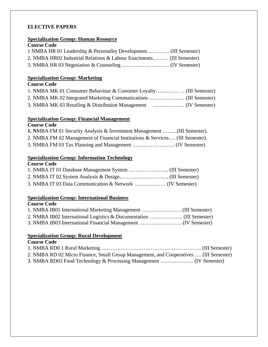# **ELECTIVE PAPERS**

# **Specialization Group: Human Resource**

| <b>Course Code</b>                                                   |  |
|----------------------------------------------------------------------|--|
| 1 NMBA HR 01 Leadership & Personality Development (III Semester)     |  |
| 2. NMBA HR02 Industrial Relations & Labour Enactments (III Semester) |  |
|                                                                      |  |

# **Specialization Group: Marketing**

## **Course Code**

# **Specialization Group: Financial Management**

### **Course Code**

- **1. N**MBA FM 01 Security Analysis & Investment Management ……...(III Semester).
- 2. NMBA FM 02 Management of Financial Institutions & Services…. (III Semester).
- 3. NMBA FM 03 Tax Planning and Management …..……………….. (IV Semester)

## **Specialization Group: Information Technology**

| <b>Course Code</b> |  |
|--------------------|--|
|                    |  |
|                    |  |
|                    |  |

# **Specialization Group: International Business**

# **Course Code**

# **Specialization Group: Rural Development**

| <b>Course Code</b>                                                                    |  |
|---------------------------------------------------------------------------------------|--|
|                                                                                       |  |
| 2. NMBA RD 02 Micro Finance, Small Group Management, and Cooperatives  (III Semester) |  |
|                                                                                       |  |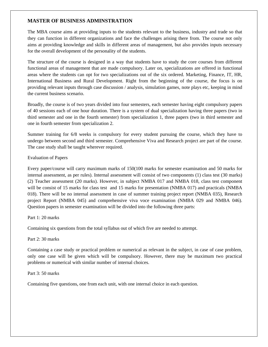### **MASTER OF BUSINESS ADMINSTRATION**

The MBA course aims at providing inputs to the students relevant to the business, industry and trade so that they can function in different organizations and face the challenges arising there from. The course not only aims at providing knowledge and skills in different areas of management, but also provides inputs necessary for the overall development of the personality of the students.

The structure of the course is designed in a way that students have to study the core courses from different functional areas of management that are made compulsory. Later on, specializations are offered in functional areas where the students can opt for two specializations out of the six ordered. Marketing, Finance, IT, HR, International Business and Rural Development. Right from the beginning of the course, the focus is on providing relevant inputs through case discussion / analysis, simulation games, note plays etc, keeping in mind the current business scenario.

Broadly, the course is of two years divided into four semesters, each semester having eight compulsory papers of 40 sessions each of one hour duration. There is a system of dual specialization having three papers (two in third semester and one in the fourth semester) from specialization 1, three papers (two in third semester and one in fourth semester from specialization 2.

Summer training for 6/8 weeks is compulsory for every student pursuing the course, which they have to undergo between second and third semester. Comprehensive Viva and Research project are part of the course. The case study shall be taught wherever required.

#### Evaluation of Papers

Every paper/course will carry maximum marks of 150(100 marks for semester examination and 50 marks for internal assessment, as per rules). Internal assessment will consist of two components (1) class test (30 marks) (2) Teacher assessment (20 marks). However, in subject NMBA 017 and NMBA 018, class test component will be consist of 15 marks for class test and 15 marks for presentation (NMBA 017) and practicals (NMBA 018). There will be no internal assessment in case of summer training project report (NMBA 035), Research project Report (NMBA 045) and comprehensive viva voce examination (NMBA 029 and NMBA 046). Question papers in semester examination will be divided into the following three parts:

#### Part 1: 20 marks

Containing six questions from the total syllabus out of which five are needed to attempt.

#### Part 2: 30 marks

Containing a case study or practical problem or numerical as relevant in the subject, in case of case problem, only one case will be given which will be compulsory. However, there may be maximum two practical problems or numerical with similar number of internal choices.

#### Part 3: 50 marks

Containing five questions, one from each unit, with one internal choice in each question.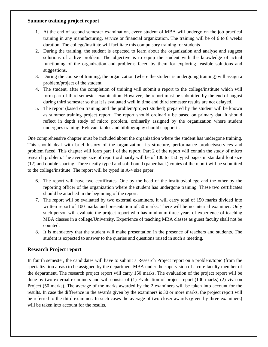#### **Summer training project report**

- 1. At the end of second semester examination, every student of MBA will undergo on-the-job practical training in any manufacturing, service or financial organization. The training will be of 6 to 8 weeks duration. The college/institute will facilitate this compulsory training for students
- 2. During the training, the student is expected to learn about the organization and analyse and suggest solutions of a live problem. The objective is to equip the student with the knowledge of actual functioning of the organization and problems faced by them for exploring feasible solutions and suggestions.
- 3. During the course of training, the organization (where the student is undergoing training) will assign a problem/project of the student.
- 4. The student, after the completion of training will submit a report to the college/institute which will form part of third semester examination. However, the report must be submitted by the end of august during third semester so that it is evaluated well in time and third semester results are not delayed.
- 5. The report (based on training and the problem/project studied) prepared by the student will be known as summer training project report. The report should ordinarily be based on primary dat. It should reflect in depth study of micro problem, ordinarily assigned by the organization where student undergoes training. Relevant tables and bibliography should support it.

One comprehensive chapter must be included about the organization where the student has undergone training. This should deal with brief history of the organization, its structure, performance products/services and problem faced. This chapter will form part 1 of the report. Part 2 of the report will contain the study of micro research problem. The average size of report ordinarily will be of 100 to 150 typed pages in standard font size (12) and double spacing. Three neatly typed and soft bound (paper back) copies of the report will be submitted to the college/institute. The report will be typed in A-4 size paper.

- 6. The report will have two certificates. One by the head of the institute/college and the other by the reporting officer of the organization where the student has undergone training. These two certificates should be attached in the beginning of the report.
- 7. The report will be evaluated by two external examiners. It will carry total of 150 marks divided into written report of 100 marks and presentation of 50 marks. There will be no internal examiner. Only such person will evaluate the project report who has minimum three years of experience of teaching MBA classes in a college/University. Experience of teaching MBA classes as guest faculty shall not be counted.
- 8. It is mandatory that the student will make presentation in the presence of teachers and students. The student is expected to answer to the queries and questions raised in such a meeting.

### **Research Project report**

In fourth semester, the candidates will have to submit a Research Project report on a problem/topic (from the specialization areas) to be assigned by the department MBA under the supervision of a core faculty member of the department. The research project report will carry 150 marks. The evaluation of the project report will be done by two external examiners and will consist of (1) Evaluation of project report (100 marks) (2) viva on Project (50 marks). The average of the marks awarded by the 2 examiners will be taken into account for the results. In case the difference in the awards given by the examiners is 30 or more marks, the project report will be referred to the third examiner. In such cases the average of two closer awards (given by three examiners) will be taken into account for the results.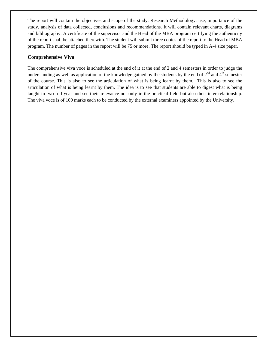The report will contain the objectives and scope of the study. Research Methodology, use, importance of the study, analysis of data collected, conclusions and recommendations. It will contain relevant charts, diagrams and bibliography. A certificate of the supervisor and the Head of the MBA program certifying the authenticity of the report shall be attached therewith. The student will submit three copies of the report to the Head of MBA program. The number of pages in the report will be 75 or more. The report should be typed in A-4 size paper.

#### **Comprehensive Viva**

The comprehensive viva voce is scheduled at the end of it at the end of 2 and 4 semesters in order to judge the understanding as well as application of the knowledge gained by the students by the end of  $2<sup>nd</sup>$  and  $4<sup>th</sup>$  semester of the course. This is also to see the articulation of what is being learnt by them. This is also to see the articulation of what is being learnt by them. The idea is to see that students are able to digest what is being taught in two full year and see their relevance not only in the practical field but also their inter relationship. The viva voce is of 100 marks each to be conducted by the external examiners appointed by the University.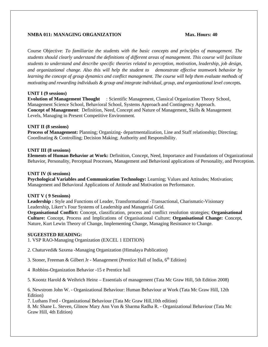#### **NMBA 011: MANAGING ORGANIZATION Max. Hours: 40**

Course Objective: *To familiarize the students with the basic concepts and principles of management. The students should clearly understand the definitions of different areas of management. This course will facilitate students to understand and describe specific theories related to perception, motivation, leadership, job design, and organizational change. Also this will help the student to demonstrate effective teamwork behavior by*  learning the concept of group dynamics and conflict management. The course will help them evaluate methods of *motivating and rewarding individuals & group and integrate individual, group, and organizational level concepts.*

#### **UNIT I (9 sessions)**

**Evolution of Management Thought** : Scientific Management, Classical Organization Theory School, Management Science School, Behavioral School, Systems Approach and Contingency Approach. **Concept of Management**: Definition, Need, Concept and Nature of Management, Skills & Management Levels, Managing in Present Competitive Environment.

#### **UNIT II (8 sessions)**

**Process of Management:** Planning; Organizing- departmentalization, Line and Staff relationship; Directing; Coordinating & Controlling; Decision Making; Authority and Responsibility.

#### **UNIT III (8 sessions)**

**Elements of Human Behavior at Work:** Definition, Concept, Need, Importance and Foundations of Organizational Behavior, Personality, Perceptual Processes, Management and Behavioral applications of Personality, and Perception.

#### **UNIT IV (6 sessions)**

**Psychological Variables and Communication Technology:** Learning; Values and Attitudes; Motivation; Management and Behavioral Applications of Attitude and Motivation on Performance.

#### **UNIT V ( 9 Sessions)**

**Leadership :** Style and Functions of Leader, Transformational -Transactional, Charismatic-Visionary Leadership, Likert's Four Systems of Leadership and Managerial Grid.

**Organisational Conflict:** Concept, classification, process and conflict resolution strategies; **Organisational Culture:** Concept, Process and Implications of Organisational Culture; **Organisational Change:** Concept, Nature, Kurt Lewin Theory of Change, Implementing Change, Managing Resistance to Change.

#### **SUGEESTED READING:**

1. VSP RAO-Managing Organization (EXCEL 1 EDITION)

2. Chaturvedi& Saxena -Managing Organization (Himalaya Publication)

3. Stoner, Freeman & Gilbert Jr - Management (Prentice Hall of India,  $6<sup>th</sup>$  Edition)

4 Robbins-Organization Behavior -15 e Prentice hall

5. Koontz Harold & Weihrich Heinz – Essentials of management (Tata Mc Graw Hill, 5th Edition 2008)

6. Newstrom John W. - Organizational Behaviour: Human Behaviour at Work (Tata Mc Graw Hill, 12th Edition)

7. Luthans Fred - Organizational Behaviour (Tata Mc Graw Hill,10th edition)

8. Mc Shane L. Steven, Glinow Mary Ann Von & Sharma Radha R. - Organizational Behaviour (Tata Mc Graw Hill, 4th Edition)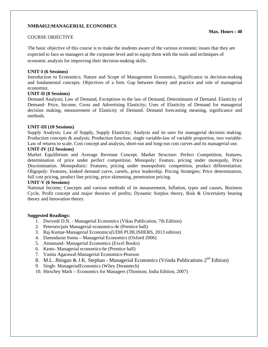#### **NMBA012:MANAGERIAL ECONOMICS**

#### COURSE OBJECTIVE

The basic objective of this course is to make the students aware of the various economic issues that they are expected to face as managers at the corporate level and to equip them with the tools and techniques of economic analysis for improving their decision-making skills.

#### **UNIT-I (6 Sessions)**

Introduction to Economics; Nature and Scope of Management Economics, Significance in decision-making and fundamental concepts. Objectives of a firm. Gap between theory and practice and role of managerial economist.

#### **UNIT-II (8 Sessions)**

Demand Analysis; Law of Demand, Exceptions to the law of Demand, Determinants of Demand. Elasticity of Demand- Price, Income, Cross and Advertising Elasticity; Uses of Elasticity of Demand for managerial decision making, measurement of Elasticity of Demand. Demand forecasting meaning, significance and methods.

#### **UNIT-III (10 Sessions)**

Supply Analysis; Law of Supply, Supply Elasticity; Analysis and its uses for managerial decision making. Production concepts & analysis; Production function, single variable-law of variable proportion, two variable-Law of returns to scale. Cost concept and analysis, short-run and long-run cost curves and its managerial use.

#### **UNIT-IV (12 Sessions)**

Market Equilibrium and Average Revenue Concept. Market Structure: Perfect Competition, features, determination of price under perfect competition. Monopoly: Feature, pricing under monopoly, Price Discrimination. Monopolistic: Features, pricing under monopolistic competition, product differentiation. Oligopoly: Features, kinked demand curve, cartels, price leadership. Pricing Strategies; Price determination, full cost pricing, product line pricing, price skimming, penetration pricing.

#### **UNIT-V (6 Sessions)**

National Income; Concepts and various methods of its measurement, Inflation, types and causes, Business Cycle, Profit concept and major theories of profits; Dynamic Surplus theory, Risk & Uncertainty bearing theory and Innovation theory.

#### **Suggested Readings:**

- 1. Dwivedi D.N. Managerial Economics (Vikas Publication, 7th Edition)
- 2. Petersen/jain Managerial economics-4e (Prentice hall)
- 3. Raj Kumar-Managerial Economics(UDH PUBLISHERS, 2013 edition)
- 4. Damodaran Suma Managerial Economics (Oxford 2006)
- 5. Atmanand- Managerial Economics (Excel Books)
- 6. Keats- Managerial economics-6e (Prentice hall)
- 7. Vanita Agarawal-Managerial Economics-Pearson
- 8. M.L. Jhingan & J.K. Stephan Managerial Economics (Vrinda Publications  $2^{nd}$  Edition)
- 9. Singh- ManagerialEconomics (Wiley Dreamtech)
- 10. Hirschey Mark Economics for Managers (Thomson, India Edition, 2007)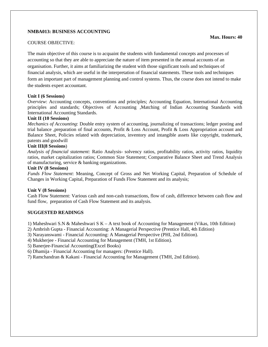#### **NMBA013: BUSINESS ACCOUNTING**

#### COURSE OBJECTIVE:

The main objective of this course is to acquaint the students with fundamental concepts and processes of accounting so that they are able to appreciate the nature of item presented in the annual accounts of an organisation. Further, it aims at familiarizing the student with those significant tools and techniques of financial analysis, which are useful in the interpretation of financial statements. These tools and techniques form an important part of management planning and control systems. Thus, the course does not intend to make the students expert accountant.

#### **Unit I (6 Sessions)**

*Overview*: Accounting concepts, conventions and principles; Accounting Equation, International Accounting principles and standards; Objectives of Accounting ,Matching of Indian Accounting Standards with International Accounting Standards.

#### **Unit II (10 Sessions)**

*Mechanics of Accounting*: Double entry system of accounting, journalizing of transactions; ledger posting and trial balance ,preparation of final accounts, Profit & Loss Account, Profit & Loss Appropriation account and Balance Sheet, Policies related with depreciation, inventory and intangible assets like copyright, trademark, patents and goodwill

#### **Unit III(8 Sessions**)

*Analysis of financial statement:* Ratio Analysis- solvency ratios, profitability ratios, activity ratios, liquidity ratios, market capitalization ratios; Common Size Statement; Comparative Balance Sheet and Trend Analysis of manufacturing, service & banking organizations.

#### **Unit IV (8 Sessions)**

*Funds Flow Statement*: Meaning, Concept of Gross and Net Working Capital, Preparation of Schedule of Changes in Working Capital, Preparation of Funds Flow Statement and its analysis;

#### **Unit V (8 Sessions)**

Cash Flow Statement: Various cash and non-cash transactions, flow of cash, difference between cash flow and fund flow, preparation of Cash Flow Statement and its analysis.

#### **SUGGESTED READINGS**

1) Maheshwari S.N & Maheshwari S K – A text book of Accounting for Management (Vikas, 10th Edition)

- 2) Ambrish Gupta Financial Accounting: A Managerial Perspective (Prentice Hall, 4th Edition)
- 3) Narayanswami Financial Accounting: A Managerial Perspective (PHI, 2nd Edition).
- 4) Mukherjee Financial Accounting for Management (TMH, 1st Edition).

5) Banerjee-Financial Accounting(Excel Books)

- 6) Dhamija Financial Accounting for managers: (Prentice Hall).
- 7) Ramchandran & Kakani Financial Accounting for Management (TMH, 2nd Edition).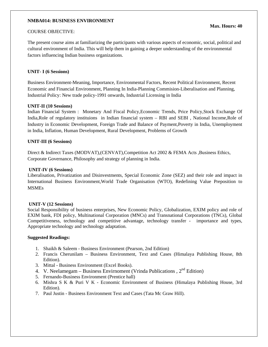#### **NMBA014: BUSINESS ENVIRONMENT**

#### COURSE OBJECTIVE:

The present course aims at familiarizing the participants with various aspects of economic, social, political and cultural environment of India. This will help them in gaining a deeper understanding of the environmental factors influencing Indian business organizations.

#### **UNIT- I (6 Sessions)**

Business Environment-Meaning, Importance, Environmental Factors, Recent Political Environment, Recent Economic and Financial Environment, Planning In India-Planning Commision-Liberalisation and Planning, Industrial Policy: New trade policy-1991 onwards, Industrial Licensing in India

#### **UNIT-II (10 Sessions)**

Indian Financial System : Monetary And Fiscal Policy,Economic Trends, Price Policy,Stock Exchange Of India,Role of regulatory instituions in Indian financial system – RBI and SEBI , National Income,Role of Industry in Economic Development, Foreign Trade and Balance of Payment,Poverty in India, Unemployment in India, Inflation, Human Development, Rural Development, Problems of Growth

#### **UNIT-III (6 Sessions)**

Direct & Indirect Taxes (MODVAT),(CENVAT),Competition Act 2002 & FEMA Acts ,Business Ethics, Corporate Governance, Philosophy and strategy of planning in India.

#### **UNIT-IV (6 Sessions)**

Liberalisation, Privatization and Disinvestments, Special Economic Zone (SEZ) and their role and impact in International Business Environment,World Trade Organisation (WTO), Redefining Value Preposition to MSMEs

#### **UNIT-V (12 Sessions)**

Social Responsibility of business enterprises, New Economic Policy, Globalization, EXIM policy and role of EXIM bank, FDI policy, Multinational Corporation (MNCs) and Transnational Corporations (TNCs), Global Competitiveness, technology and competitive advantage, technology transfer - importance and types, Appropriate technology and technology adaptation.

#### **Suggested Readings:**

- 1. Shaikh & Saleem Business Environment (Pearson, 2nd Edition)
- 2. Francis Cherunilam Business Environment, Text and Cases (Himalaya Publishing House, 8th Edition).
- 3. Mittal Business Environment (Excel Books).
- 4. V. Neelamegam Business Envirnoment (Vrinda Publications ,  $2<sup>nd</sup>$  Edition)
- 5. Fernando-Business Environment (Prentice hall)
- 6. Mishra S K & Puri V K Economic Environment of Business (Himalaya Publishing House, 3rd Edition).
- 7. Paul Justin Business Environment Text and Cases (Tata Mc Graw Hill).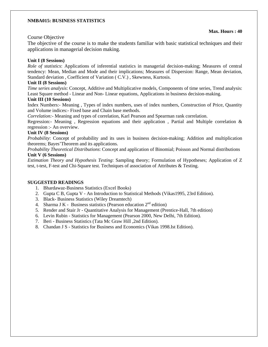#### **NMBA015: BUSINESS STATISTICS**

#### Course Objective

The objective of the course is to make the students familiar with basic statistical techniques and their applications in managerial decision making.

#### **Unit I (8 Sessions)**

*Role of statistics*: Applications of inferential statistics in managerial decision-making; Measures of central tendency: Mean, Median and Mode and their implications; Measures of Dispersion: Range, Mean deviation, Standard deviation , Coefficient of Variation ( C.V.) , Skewness, Kurtosis.

#### **Unit II (8 Sessions)**

*Time series analysis*: Concept, Additive and Multiplicative models, Components of time series, Trend analysis: Least Square method - Linear and Non- Linear equations, Applications in business decision-making.

#### **Unit III (10 Sessions)**

Index Numbers:- Meaning , Types of index numbers, uses of index numbers, Construction of Price, Quantity and Volume indices:- Fixed base and Chain base methods.

*Correlation:-* Meaning and types of correlation, Karl Pearson and Spearman rank correlation.

Regression:- Meaning , Regression equations and their application , Partial and Multiple correlation & regression :- An overview.

#### **Unit IV (8 Sessions)**

*Probability*: Concept of probability and its uses in business decision-making; Addition and multiplication theorems; Bayes'Theorem and its applications.

*Probability Theoretical Distributions*: Concept and application of Binomial; Poisson and Normal distributions **Unit V (6 Sessions)** 

*Estimation Theory and Hypothesis Testing*: Sampling theory; Formulation of Hypotheses; Application of Z test, t-test, F-test and Chi-Square test. Techniques of association of Attributes & Testing.

#### **SUGGESTED READINGS**

- 1. Bhardawaz-Business Statistics (Excel Books)
- 2. Gupta C B, Gupta V An Introduction to Statistical Methods (Vikas1995, 23rd Edition).
- 3. Black- Business Statistics (Wiley Dreamtech)
- 4. Sharma J K Business statistics (Pearson education  $2<sup>nd</sup>$  edition)
- 5. Render and Stair Jr Quantitative Analysis for Management (Prentice-Hall, 7th edition)
- 6. Levin Rubin Statistics for Management (Pearson 2000, New Delhi, 7th Edition).
- 7. Beri Business Statistics (Tata Mc Graw Hill ,2nd Edition).
- 8. Chandan J S Statistics for Business and Economics (Vikas 1998.Ist Edition).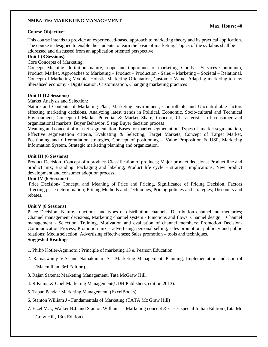#### **NMBA 016: MARKETING MANAGEMENT**

#### **Course Objective:**

This course intends to provide an experienced-based approach to marketing theory and its practical application. The course is designed to enable the students to learn the basic of marketing. Topics of the syllabus shall be addressed and discussed from an application oriented perspective

#### **Unit I (8 Sessions)**

Core Concepts of Marketing:

Concept, Meaning, definition, nature, scope and importance of marketing, Goods – Services Continuum, Product, Market, Approaches to Marketing – Product – Production - Sales – Marketing – Societal – Relational. Concept of Marketing Myopia, Holistic Marketing Orientation, Customer Value, Adapting marketing to new liberalised economy - Digitalisation, Customisation, Changing marketing practices

#### **Unit II (12 Sessions)**

Market Analysis and Selection:

Nature and Contents of Marketing Plan, Marketing environment, Controllable and Uncontrollable factors effecting marketing decisions, Analyzing latest trends in Political, Economic, Socio-cultural and Technical Environment, Concept of Market Potential & Market Share, Concept, Characteristics of consumer and organizational markets, Buyer Behavior, 5 step Buyer decision process

Meaning and concept of market segmentation, Bases for market segmentation, Types of market segmentation, Effective segmentation criteria, Evaluating & Selecting, Target Markets, Concept of Target Market, Positioning and differentiation strategies, Concept of positioning – Value Proposition & USP, Marketing Information System, Strategic marketing planning and organization.

#### **Unit III (6 Sessions)**

Product Decision- Concept of a product; Classification of products; Major product decisions; Product line and product mix; Branding; Packaging and labeling; Product life cycle – strategic implications; New product development and consumer adoption process.

#### **Unit IV (6 Sessions)**

 Price Decision- Concept, and Meaning of Price and Pricing, Significance of Pricing Decision, Factors affecting price determination; Pricing Methods and Techniques, Pricing policies and strategies; Discounts and rebates.

#### **Unit V (8 Sessions)**

Place Decision- Nature, functions, and types of distribution channels; Distribution channel intermediaries; Channel management decisions, Marketing channel system - Functions and flows; Channel design, Channel management - Selection, Training, Motivation and evaluation of channel members; Promotion Decision-Communication Process; Promotion mix – advertising, personal selling, sales promotion, publicity and public relations; Media selection; Advertising effectiveness; Sales promotion – tools and techniques. **Suggested Readings** 

- 1. Philip Kotler-Agnihotri : Principle of marketing 13 e, Pearson Education
- 2. Ramaswamy V.S. and Namakumari S Marketing Management: Planning, Implementation and Control (Macmillian, 3rd Edition).
- 3. Rajan Saxena: Marketing Management, Tata McGraw Hill.
- 4. R Kumar& Goel-Marketing Management(UDH Publishers, edition 2013).
- 5. Tapan Panda : Marketing Management, (ExcelBooks)
- 6. Stanton William J Fundamentals of Marketing (TATA Mc Graw Hill)
- 7. Etzel M.J., Walker B.J. and Stanton William J Marketing concept & Cases special Indian Edition (Tata Mc Graw Hill, 13th Edition).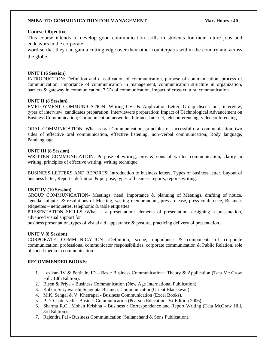#### **NMBA 017: COMMUNICATION FOR MANAGEMENT Max. Hours : 40**

#### **Course Objective**

This course intends to develop good communication skills in students for their future jobs and endeavors in the corporate

word so that they can gain a cutting edge over their other counterparts within the country and across the globe.

#### **UNIT I (6 Session)**

INTRODUCTION: Definition and classification of communication, purpose of communication, process of communication, importance of communication in management, communication structure in organization, barriers & gateway in communication, 7 C's of communication, Impact of cross cultural communication.

#### **UNIT II (8 Session)**

EMPLOYMENT COMMUNICATION: Writing CVs & Application Letter, Group discussions, interview, types of interview, candidates preparation, Interviewers preparation; Impact of Technological Advancement on Business Communication; Communication networks, Intranet, Internet, teleconferencing, videoconferencing

ORAL COMMINICATION: What is oral Communication, principles of successful oral communication, two sides of effective oral communication, effective listening, non–verbal communication, Body language, Paralanguage.

#### **UNIT III (8 Session)**

WRITTEN COMMUNICATION: Purpose of writing, pros & cons of written communication, clarity in writing, principles of effective writing, writing technique.

BUSINESS LETTERS AND REPORTS: Introduction to business letters, Types of business letter, Layout of business letter, Reports: definition & purpose, types of business reports, reports writing.

#### **UNIT IV (10 Session)**

GROUP COMMUNICATION- Meetings: need, importance & planning of Meetings, drafting of notice, agenda, minutes & resolutions of Meeting, writing memorandum, press release, press conference, Business etiquettes – netiquettes, telephonic  $\&$  table etiquettes.

PRESENTATION SKILLS :What is a presentation: elements of presentation, designing a presentation, advanced visual support for

business presentation, types of visual aid, appearance & posture, practicing delivery of presentation.

#### **UNIT V (8 Session)**

CORPORATE COMMUNICATION :Definition, scope, importance & components of corporate communication, professional communicator responsibilities, corporate communication & Public Relation, role of social media in communication.

#### **RECOMMENDED BOOKS**:

- 1. Lesikar RV & Pettit Jr. JD Basic Business Communication : Theory & Application (Tata Mc Grow Hill, 10th Edition).
- 2. Bisen & Priya Business Communication (New Age International Publication)
- 3. Kalkar,Suryavanshi,Sengupta-Business Communication(Orient Blackswan)
- 4. M.K. Sehgal & V. Khetrapal Business Communication (Excel Books).
- 5. P.D. Chaturvedi Busines Communication (Pearson Education, 3st Edition 2006).
- 6. Sharma R.C., Mohan Krishna Business : Correspondence and Report Writing (Tata McGraw Hill, 3rd Edition).
- 7. Rajendra Pal Business Communication (Sultanchand & Sons Publication).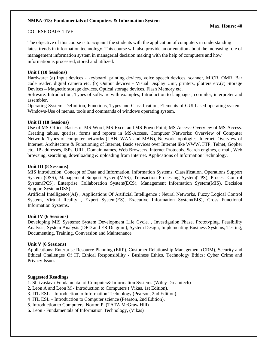#### **NMBA 018: Fundamentals of Computers & Information System**

#### COURSE OBJECTIVE:

The objective of this course is to acquaint the students with the application of computers in understanding latest trends in information technology. This course will also provide an orientation about the increasing role of management information system in managerial decision making with the help of computers and how information is processed, stored and utilized.

#### **Unit I (10 Sessions)**

Hardware: (a) Input devices - keyboard, printing devices, voice speech devices, scanner, MICR, OMR, Bar code reader, digital camera etc. (b) Output devices - Visual Display Unit, printers, plotters etc.(c) Storage Devices – Magnetic storage devices, Optical storage devices, Flash Memory etc.

Software: Introduction; Types of software with examples; Introduction to languages, compiler, interpreter and assembler.

Operating System: Definition, Functions, Types and Classification, Elements of GUI based operating system-Windows-Use of menus, tools and commands of windows operating system.

#### **Unit II (10 Sessions)**

Use of MS-Office: Basics of MS-Word, MS-Excel and MS-PowerPoint; MS Access: Overview of MS-Access. Creating tables, queries, forms and reports in MS-Access. Computer Networks: Overview of Computer Network, Types of computer networks (LAN, WAN and MAN), Network topologies, Internet: Overview of Internet, Architecture & Functioning of Internet, Basic services over Internet like WWW, FTP, Telnet, Gopher etc., IP addresses, ISPs, URL, Domain names, Web Browsers, Internet Protocols, Search engines, e-mail, Web browsing, searching, downloading & uploading from Internet. Applications of Information Technology.

#### **Unit III (8 Sessions)**

MIS Introduction: Concept of Data and Information, Information Systems, Classification, Operations Support System (OSS), Management Support System(MSS), Transaction Processing System(TPS), Process Control System(PCS), Enterprise Collaboration System(ECS), Management Information System(MIS), Decision Support System(DSS).

Artificial Intelligence(AI) , Applications Of Artificial Intelligence : Neural Networks, Fuzzy Logical Control System, Virtual Reality , Expert System(ES), Executive Information System(EIS), Cross Functional Information Systems.

#### **Unit IV (6 Sessions)**

Developing MIS Systems: System Development Life Cycle. , Investigation Phase, Prototyping, Feasibility Analysis, System Analysis (DFD and ER Diagram), System Design, Implementing Business Systems, Testing, Documenting, Training, Conversion and Maintenance

#### **Unit V (6 Sessions)**

Applications: Enterprise Resource Planning (ERP), Customer Relationship Management (CRM), Security and Ethical Challenges Of IT, Ethical Responsibility - Business Ethics, Technology Ethics; Cyber Crime and Privacy Issues.

#### **Suggested Readings**

1. Shrivastava-Fundamental of Computer& Information Systems (Wiley Dreamtech)

- 2. Leon A and Leon M Introduction to Computers ( Vikas, 1st Edition).
- 3. ITL ESL Introduction to Information Technology (Pearson, 2nd Edition).
- 4 ITL ESL Introduction to Computer science (Pearson, 2nd Edition).
- 5. Introduction to Computers, Norton P. (TATA McGraw Hill)
- 6. Leon Fundamentals of Information Technology, (Vikas)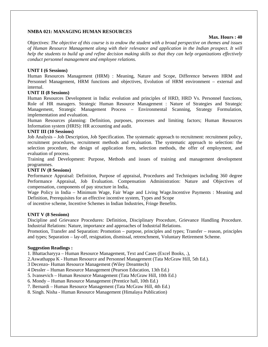#### **NMBA 021: MANAGING HUMAN RESOURCES**

#### **Max. Hours : 40**

Objectives: *The objective of this course is to endow the student with a broad perspective on themes and issues of Human Resource Management along with their relevance and application in the Indian prospect. It will help the students to build up and refine decision making skills so that they can help organizations effectively conduct personnel management and employee relations.*

#### **UNIT I (6 Sessions)**

Human Resources Management (HRM) : Meaning, Nature and Scope, Difference between HRM and Personnel Management, HRM functions and objectives, Evolution of HRM environment – external and internal.

#### **UNIT II (8 Sessions)**

Human Resources Development in India: evolution and principles of HRD, HRD Vs. Personnel functions, Role of HR managers. Strategic Human Resource Management : Nature of Strategies and Strategic Management, Strategic Management Process – Environmental Scanning, Strategy Formulation, implementation and evaluation.

Human Resources planning: Definition, purposes, processes and limiting factors; Human Resources Information system (HRIS): HR accounting and audit.

#### **UNIT III (10 Sessions)**

Job Analysis – Job Description, Job Specification. The systematic approach to recruitment: recruitment policy, recruitment procedures, recruitment methods and evaluation. The systematic approach to selection: the selection procedure, the design of application form, selection methods, the offer of employment, and evaluation of process.

Training and Development: Purpose, Methods and issues of training and management development programmes.

#### **UNIT IV (8 Sessions)**

Performance Appraisal: Definition, Purpose of appraisal, Procedures and Techniques including 360 degree Performance Appraisal, Job Evaluation. Compensation Administration: Nature and Objectives of compensation, components of pay structure in India,

Wage Policy in India – Minimum Wage, Fair Wage and Living Wage.Incentive Payments : Meaning and Definition, Prerequisites for an effective incentive system, Types and Scope

of incentive scheme, Incentive Schemes in Indian Industries, Fringe Benefits.

#### **UNIT V (8 Sessions)**

Discipline and Grievance Procedures: Definition, Disciplinary Procedure, Grievance Handling Procedure. Industrial Relations: Nature, importance and approaches of Industrial Relations.

Promotion, Transfer and Separation: Promotion – purpose, principles and types; Transfer – reason, principles and types; Separation – lay-off, resignation, dismissal, retrenchment, Voluntary Retirement Scheme.

#### **Suggestion Readings :**

1. Bhattacharyya – Human Resource Management, Text and Cases (Excel Books, .),

2.Aswathappa K - Human Resource and Personnel Management (Tata McGraw Hill, 5th Ed.).

3 Decenzo- Human Resource Management (Wiley Dreamtech)

4 Dessler – Human Resource Management (Pearson Education, 13th Ed.)

5. Ivansevich – Human Resource Management (Tata McGraw Hill, 10th Ed.)

6. Mondy – Human Resource Management (Prentice hall, 10th Ed.)

7. Bernardi – Human Resource Management (Tata McGraw Hill, 4th Ed.)

8. Singh. Nisha - Human Resource Management (Himalaya Publication)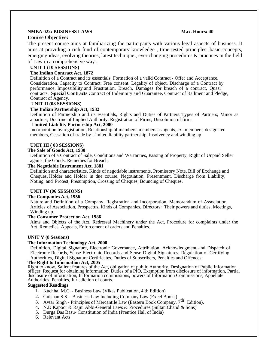#### **NMBA 022: BUSINESS LAWS** Max. Hours: 40 **Course Objective:**

# The present course aims at familiarizing the participants with various legal aspects of business. It aims at providing a rich fund of contemporary knowledge , time tested principles, basic concepts, emerging ideas, evolving theories, latest technique , ever changing procedures & practices in the field

of Law in a comprehensive way .

### **UNIT 1 (10 SESSIONS)**

#### **The Indian Contract Act, 1872**

Definition of a Contract and its essentials, Formation of a valid Contract - Offer and Acceptance, Consideration, Capacity to Contract, Free consent, Legality of object, Discharge of a Contract by performance, Impossibility and Frustration, Breach, Damages for breach of a contract, Quasi contracts. **Special Contracts** Contract of Indemnity and Guarantee, Contract of Bailment and Pledge, Contract of Agency.

#### **UNIT II (08 SESSIONS)**

#### **The Indian Partnership Act, 1932**

Definition of Partnership and its essentials, Rights and Duties of Partners: Types of Partners, Minor as a partner, Doctrine of Implied Authority, Registration of Firms, Dissolution of firms.

#### **Limited Liability Partnership Act, 2000**

Incorporation by registration, Relationship of members, members as agents, ex- members, designated members, Cessation of trade by Limited liability partnership, Insolvency and winding up

#### **UNIT III ( 08 SESSIONS)**

#### **The Sale of Goods Act, 1930**

Definition of a Contract of Sale, Conditions and Warranties, Passing of Property, Right of Unpaid Seller against the Goods, Remedies for Breach.

#### **The Negotiable Instrument Act, 1881**

Definition and characteristics, Kinds of negotiable instruments, Promissory Note, Bill of Exchange and Cheques, Holder and Holder in due course, Negotiation, Presentment, Discharge from Liability, Noting and Protest, Presumption, Crossing of Cheques, Bouncing of Cheques.

#### **UNIT IV (06 SESSIONS)**

#### **The Companies Act, 1956**

Nature and Definition of a Company, Registration and Incorporation, Memorandum of Association, Articles of Association, Prospectus, Kinds of Companies, Directors: Their powers and duties, Meetings, Winding up.

#### **The Consumer Protection Act, 1986**

Aims and Objects of the Act, Redressal Machinery under the Act, Procedure for complaints under the Act, Remedies, Appeals, Enforcement of orders and Penalties.

#### **UNIT V (8 Sessions)**

#### **The Information Technology Act, 2000**

Definition, Digital Signature, Electronic Governance, Attribution, Acknowledgment and Dispatch of Electronic Records, Sense Electronic Records and Sense Digital Signatures, Regulation of Certifying Authorities, Digital Signature Certificates, Duties of Subscribers, Penalties and Offences.

#### **The Right to Information Act, 2005**

Right to know, Salient features of the Act, obligation of public Authority, Designation of Public Information officer, Request for obtaining information, Duties of a PIO, Exemption from disclosure of information, Partial disclosure of information, In formation commissions, powers of Information Commissions, Appellate Authorities, Penalties, Jurisdiction of courts.

#### **Suggested Readings**

- 1. Kuchhal M.C. Business Law (Vikas Publication, 4 th Edition)
- 2. Gulshan S.S. Business Law Including Company Law (Excel Books)
- 3. Avtar Singh Principles of Mercantile Law (Eastern Book Company, 7<sup>th</sup> Edition).
- 4. N.D Kapoor & Rajni Abbi-General Laws & Procedures (Sultan Chand & Sons)
- 5. Durga Das Basu- Constitution of India (Prentice Hall of India)
- 6. Relevant Acts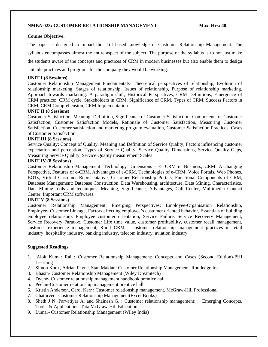#### **NMBA 023: CUSTOMER RELATIONSHIP MANAGEMENT Max. Hrs: 40**

#### **Course Objective:**

The paper is designed to impart the skill based knowledge of Customer Relationship Management. The syllabus encompasses almost the entire aspect of the subject. The purpose of the syllabus is to not just make the students aware of the concepts and practices of CRM in modern businesses but also enable them to design suitable practices and programs for the company they would be working.

#### **UNIT I (8 Sessions)**

Customer Relationship Management Fundamentals- Theoretical perspectives of relationship, Evolution of relationship marketing, Stages of relationship, Issues of relationship, Purpose of relationship marketing, Approach towards marketing: A paradigm shift, Historical Perspectives, CRM Definitions, Emergence of CRM practice:, CRM cycle, Stakeholders in CRM, Significance of CRM, Types of CRM, Success Factors in CRM, CRM Comprehension, CRM Implementation

#### **UNIT II (8 Sessions)**

Customer Satisfaction: Meaning, Definition, Significance of Customer Satisfaction, Components of Customer Satisfaction, Customer Satisfaction Models, Rationale of Customer Satisfaction, Measuring Customer Satisfaction, Customer satisfaction and marketing program evaluation, Customer Satisfaction Practices, Cases of Customer Satisfaction

#### **UNIT III (8 Sessions)**

Service Quality: Concept of Quality, Meaning and Definition of Service Quality, Factors influencing customer expectation and perception, Types of Service Quality, Service Quality Dimensions, Service Quality Gaps, Measuring Service Quality, Service Quality measurement Scales

#### **UNIT IV (8 Sessions)**

Customer Relationship Management: Technology Dimensions - E- CRM in Business, CRM: A changing Perspective, Features of e-CRM, Advantages of e-CRM, Technologies of e-CRM, Voice Portals, Web Phones, BOTs, Virtual Customer Representative, Customer Relationship Portals, Functional Components of CRM, Database Management: Database Construction, Data Warehousing, architecture, Data Mining. Characteristics, Data Mining tools and techniques, Meaning, Significance, Advantages, Call Center, Multimedia Contact Center, Important CRM softwares.

#### **UNIT V (8 Sessions)**

Customer Relationship Management: Emerging Perspectives: Employee-Organisation Relationship, Employee- Customer Linkage, Factors effecting employee's customer oriented behavior, Essentials of building employee relationship, Employee customer orientation, Service Failure, Service Recovery Management, Service Recovery Paradox, Customer Life time value, customer profitability, customer recall management, customer experience management, Rural CRM, , customer relationship management practices in retail industry, hospitality industry, banking industry, telecom industry, aviation industry

#### **Suggested Readings**

- 1. Alok Kumar Rai : Customer Relationship Management: Concepts and Cases (Second Edition)-PHI Learning
- 2. Simon Knox, Adrian Payne, Stan Maklan: Customer Relationship Management- Routledge Inc.
- 3. Bhasin- Customer Relationship Management (Wiley Dreamtech)
- 4. Dyche- Customer relationship management handbook prentice hall
- 5. Peelan-Customer relationship management prentice hall
- 6. Kristin Anderson, Carol Kerr : Customer relationship management, McGraw-Hill Professional
- 7. Chaturvedi-Customer Relationship Management(Excel Books)
- 8. Sheth J N, Parvatiyar A. and Shainesh G. : Customer relationship management: , Emerging Concepts, Tools, & Applications, Tata McGraw-Hill Education
- 9. Lumar- Customer Relationship Management (Wiley India)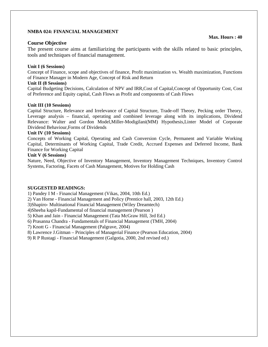#### **NMBA 024: FINANCIAL MANAGEMENT**

#### **Course Objective**

The present course aims at familiarizing the participants with the skills related to basic principles, tools and techniques of financial management.

#### **Unit I (6 Sessions)**

Concept of Finance, scope and objectives of finance, Profit maximization vs. Wealth maximization, Functions of Finance Manager in Modern Age, Concept of Risk and Return

#### **Unit II (8 Sessions)**

Capital Budgeting Decisions, Calculation of NPV and IRR,Cost of Capital,Concept of Opportunity Cost, Cost of Preference and Equity capital, Cash Flows as Profit and components of Cash Flows

#### **Unit III (10 Sessions)**

Capital Structure, Relevance and Irrelevance of Capital Structure, Trade-off Theory, Pecking order Theory, Leverage analysis – financial, operating and combined leverage along with its implications, Dividend Relevance: Walter and Gordon Model,Miller-Modigilani(MM) Hypothesis,Linter Model of Corporate Dividend Behaviour,Forms of Dividends

#### **Unit IV (10 Sessions)**

Concepts of Working Capital, Operating and Cash Conversion Cycle, Permanent and Variable Working Capital, Determinants of Working Capital, Trade Credit, Accrued Expenses and Deferred Income, Bank Finance for Working Capital

#### **Unit V (6 Sessions)**

Nature, Need, Objective of Inventory Management, Inventory Management Techniques, Inventory Control Systems, Factoring, Facets of Cash Management, Motives for Holding Cash

#### **SUGGESTED READINGS:**

1) Pandey I M - Financial Management (Vikas, 2004, 10th Ed.)

2) Van Horne - Financial Management and Policy (Prentice hall, 2003, 12th Ed.)

3)Shapiro- Multinational Financial Management (Wiley Dreamtech)

4)Sheeba kapil-Fundamental of financial management (Pearson )

5) Khan and Jain - Financial Management (Tata McGraw Hill, 3rd Ed.)

6) Prasanna Chandra - Fundamentals of Financial Management (TMH, 2004)

7) Knott G - Financial Management (Palgrave, 2004)

8) Lawrence J.Gitman – Principles of Managerial Finance (Pearson Education, 2004)

9) R P Rustagi - Financial Management (Galgotia, 2000, 2nd revised ed.)

#### **Max. Hours : 40**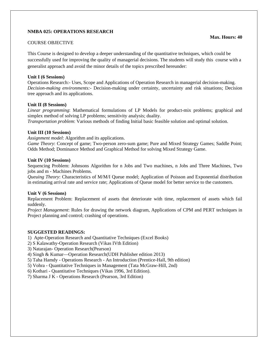#### **NMBA 025: OPERATIONS RESEARCH**

#### COURSE OBJECTIVE

This Course is designed to develop a deeper understanding of the quantitative techniques, which could be successfully used for improving the quality of managerial decisions. The students will study this course with a generalist approach and avoid the minor details of the topics prescribed hereunder:

#### **Unit I (6 Sessions)**

Operations Research:- Uses, Scope and Applications of Operation Research in managerial decision-making. *Decision-making environments:-* Decision-making under certainty, uncertainty and risk situations; Decision tree approach and its applications.

#### **Unit II (8 Sessions)**

*Linear programming*: Mathematical formulations of LP Models for product-mix problems; graphical and simplex method of solving LP problems; sensitivity analysis; duality.

*Transportation problem*: Various methods of finding Initial basic feasible solution and optimal solution.

#### **Unit III (10 Sessions)**

*Assignment model*: Algorithm and its applications.

*Game Theory*: Concept of game; Two-person zero-sum game; Pure and Mixed Strategy Games; Saddle Point; Odds Method; Dominance Method and Graphical Method for solving Mixed Strategy Game.

#### **Unit IV (10 Sessions)**

Sequencing Problem: Johnsons Algorithm for n Jobs and Two machines, n Jobs and Three Machines, Two jobs and m - Machines Problems.

*Queuing Theory*: Characteristics of M/M/I Queue model; Application of Poisson and Exponential distribution in estimating arrival rate and service rate; Applications of Queue model for better service to the customers.

#### **Unit V (6 Sessions)**

Replacement Problem: Replacement of assets that deteriorate with time, replacement of assets which fail suddenly.

*Project Management*: Rules for drawing the network diagram, Applications of CPM and PERT techniques in Project planning and control; crashing of operations.

#### **SUGGESTED READINGS:**

1) Apte-Operation Research and Quantitative Techniques (Excel Books)

2) S Kalawathy-Operation Research (Vikas IVth Edition)

3) Natarajan- Operation Research(Pearson)

4) Singh & Kumar—Operation Research(UDH Publisher edition 2013)

5) Taha Hamdy - Operations Research - An Introduction (Prentice-Hall, 9th edition)

5) Vohra - Quantitative Techniques in Management (Tata McGraw-Hill, 2nd)

6) Kothari - Quantitative Techniques (Vikas 1996, 3rd Edition).

7) Sharma J K - Operations Research (Pearson, 3rd Edition)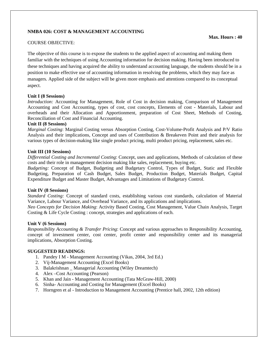#### **NMBA 026: COST & MANAGEMENT ACCOUNTING**

#### COURSE OBJECTIVE:

The objective of this course is to expose the students to the applied aspect of accounting and making them familiar with the techniques of using Accounting information for decision making. Having been introduced to these techniques and having acquired the ability to understand accounting language, the students should be in a position to make effective use of accounting information in resolving the problems, which they may face as managers. Applied side of the subject will be given more emphasis and attentions compared to its conceptual aspect.

#### **Unit I (8 Sessions)**

*Introduction:* Accounting for Management, Role of Cost in decision making, Comparison of Management Accounting and Cost Accounting, types of cost, cost concepts, Elements of cost - Materials, Labour and overheads and their Allocation and Apportionment, preparation of Cost Sheet, Methods of Costing, Reconciliation of Cost and Financial Accounting.

#### **Unit II (8 Sessions)**

*Marginal Costing*: Marginal Costing versus Absorption Costing, Cost-Volume-Profit Analysis and P/V Ratio Analysis and their implications, Concept and uses of Contribution & Breakeven Point and their analysis for various types of decision-making like single product pricing, multi product pricing, replacement, sales etc.

#### **Unit III (10 Sessions)**

*Differential Costing and Incremental Costing*: Concept, uses and applications, Methods of calculation of these costs and their role in management decision making like sales, replacement, buying etc.

*Budgeting:* Concept of Budget, Budgeting and Budgetary Control, Types of Budget, Static and Flexible Budgeting, Preparation of Cash Budget, Sales Budget, Production Budget, Materials Budget, Capital Expenditure Budget and Master Budget, Advantages and Limitations of Budgetary Control.

#### **Unit IV (8 Sessions)**

*Standard Costing:* Concept of standard costs, establishing various cost standards, calculation of Material Variance, Labour Variance, and Overhead Variance, and its applications and implications.

*Neo Concepts for Decision Making*: Activity Based Costing, Cost Management, Value Chain Analysis, Target Costing & Life Cycle Costing : concept, strategies and applications of each.

#### **Unit V (6 Sessions)**

*Responsibility Accounting & Transfer Pricing*: Concept and various approaches to Responsibility Accounting, concept of investment center, cost center, profit center and responsibility center and its managerial implications, Absorption Costing.

#### **SUGGESTED READINGS:**

- 1. Pandey I M Management Accounting (Vikas, 2004, 3rd Ed.)
- 2. Vij-Management Accounting (Excel Books)
- 3. Balakrishnan Managerial Accounting (Wiley Dreamtech)
- 4. Alex –Cost Accounting (Pearson)
- 5. Khan and Jain Management Accounting (Tata McGraw-Hill, 2000)
- 6. Sinha- Accounting and Costing for Management (Excel Books)
- 7. Horngren et al Introduction to Management Accounting (Prentice hall, 2002, 12th edition)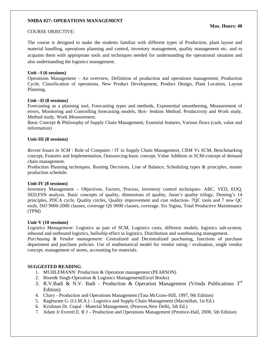#### **NMBA 027: OPERATIONS MANAGEMENT**

#### COURSE OBJECTIVE:

The course is designed to make the students familiar with different types of Production, plant layout and material handling, operations planning and control, inventory management, quality management etc. and to acquaint them with appropriate tools and techniques needed for understanding the operational situation and also understanding the logistics management.

#### **Unit –I (6 sessions)**

Operations Management – An overview, Definition of production and operations management, Production Cycle, Classification of operations, New Product Development, Product Design, Plant Location, Layout Planning.

#### **Unit –II (8 sessions)**

Forecasting as a planning tool, Forecasting types and methods, Exponential smoothening, Measurement of errors, Monitoring and Controlling forecasting models, Box- Jenkins Method. Productivity and Work study, Method study, Work Measurement.

Basic Concept & Philosophy of Supply Chain Management*;* Essential features, Various flows (cash, value and information)

#### **Unit-III (8 sessions)**

*Recent Issues in SCM* : Role of Computer / IT in Supply Chain Management, CRM Vs SCM, Benchmarking concept, Features and Implementation, Outsourcing-basic concept, Value Addition in SCM-concept of demand chain management.

Production Planning techniques, Routing Decisions, Line of Balance, Scheduling types & principles, master production schedule.

#### **Unit-IV (8 sessions)**

Inventory Management – Objectives, Factors, Process, Inventory control techniques- ABC, VED, EOQ, SED,FSN analysis. Basic concepts of quality, dimensions of quality, Juran's quality trilogy, Deming's 14 principles, PDCA cycle, Quality circles, Quality improvement and cost reduction- 7QC tools and 7 new QC tools, ISO 9000-2000 clauses, coverage QS 9000 clauses, coverage. Six Sigma, Total Productive Maintenance (TPM)

#### **Unit-V (10 sessions)**

*Logistics Management:* Logistics as part of SCM, Logistics costs, different models, logistics sub-system, inbound and outbound logistics, bullwhip effect in logistics, Distribution and warehousing management.

*Purchasing & Vendor management:* Centralized and Decentralized purchasing, functions of purchase department and purchase policies. Use of mathematical model for vendor rating / evaluation, single vendor concept, management of stores, accounting for materials.

#### **SUGGESTED READING**:

- 1. MUHLEMANN: Production & Operation management (PEARSON)
- 2. Bisen& Singh-Operation & Logistics Management(Excel Books)
- 3. R.V.Badi & N.V. Badi Production & Operation Management (Vrinda Publications  $3<sup>rd</sup>$ Edition)
- 4. Chary Production and Operations Management (Tata McGraw-Hill, 1997, 9th Edition)
- 5. Raghuram G. (I.I.M.A.) Logistics and Supply Chain Management (Macmillan, 1st Ed.)
- 6. Krishnan Dr. Gopal Material Management, (Pearson,New Delhi, 5th Ed.)
- 7. Adam Jr Everetl E. R J Production and Operations Management (Prentice-Hall, 2000, 5th Edition)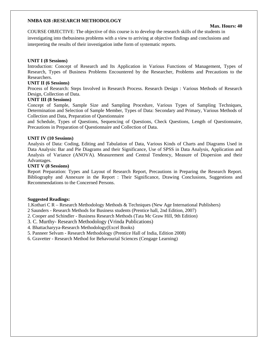#### **NMBA 028 :RESEARCH METHODOLOGY**

#### **Max. Hours: 40**

COURSE OBJECTIVE: The objective of this course is to develop the research skills of the students in investigating into thebusiness problems with a view to arriving at objective findings and conclusions and interpreting the results of their investigation inthe form of systematic reports.

#### **UNIT I (8 Sessions)**

Introduction: Concept of Research and Its Application in Various Functions of Management, Types of Research, Types of Business Problems Encountered by the Researcher, Problems and Precautions to the Researchers.

#### **UNIT II (6 Sessions)**

Process of Research: Steps Involved in Research Process. Research Design : Various Methods of Research Design, Collection of Data.

#### **UNIT III (8 Sessions)**

Concept of Sample, Sample Size and Sampling Procedure, Various Types of Sampling Techniques, Determination and Selection of Sample Member, Types of Data: Secondary and Primary, Various Methods of Collection and Data, Preparation of Questionnaire

and Schedule, Types of Questions, Sequencing of Questions, Check Questions, Length of Questionnaire, Precautions in Preparation of Questionnaire and Collection of Data.

#### **UNIT IV (10 Sessions)**

Analysis of Data: Coding, Editing and Tabulation of Data, Various Kinds of Charts and Diagrams Used in Data Analysis: Bar and Pie Diagrams and their Significance, Use of SPSS in Data Analysis, Application and Analysis of Variance (ANOVA). Measurement and Central Tendency, Measure of Dispersion and their Advantages.

#### **UNIT V (8 Sessions)**

Report Preparation: Types and Layout of Research Report, Precautions in Preparing the Research Report. Bibliography and Annexure in the Report : Their Significance, Drawing Conclusions, Suggestions and Recommendations to the Concerned Persons.

#### **Suggested Readings:**

1.Kothari C R – Research Methodology Methods & Techniques (New Age International Publishers)

2 Saunders - Research Methods for Business students (Prentice hall, 2nd Edition, 2007)

2. Cooper and Schindler - Business Research Methods (Tata Mc Graw Hill, 9th Edition)

3. C. Murthy- Research Methodology (Vrinda Publications)

4. Bhattacharyya-Research Methodology(Excel Books)

5. Panneer Selvam - Research Methodology (Prentice Hall of India, Edition 2008)

6. Gravetter - Research Method for Behavourial Sciences (Cengage Learning)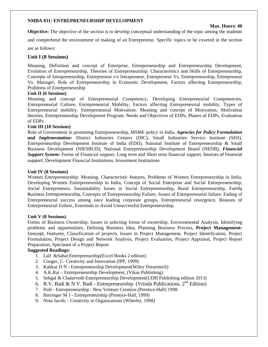#### **NMBA 031: ENTREPRENEURSHIP DEVELOPMENT**

#### **Max. Hours: 40**

**Objective:** The objective of the section is to develop conceptual understanding of the topic among the students

and comprehend the environment of making of an Entrepreneur. Specific topics to be covered in the section

are as follows:

#### **Unit I (8 Sessions)**

Meaning, Definition and concept of Enterprise, Entrepreneurship and Entrepreneurship Development, Evolution of Entrepreneurship, Theories of Entrepreneurship. Characteristics and Skills of Entrepreneurship, Concepts of Intrapreneurship, Entrepreneur v/s Intrapreneur, Entrepreneur Vs. Entrepreneurship, Entrepreneur Vs. Manager, Role of Entrepreneurship in Economic Development, Factors affecting Entrepreneurship, Problems of Entrepreneurship

#### **Unit II (6 Sessions)**

Meaning and concept of Entrepreneurial Competency, Developing Entrepreneurial Competencies, Entrepreneurial Culture, Entrepreneurial Mobility, Factors affecting Entrepreneurial mobility, Types of Entrepreneurial mobility. Entrepreneurial Motivation: Meaning and concept of Motivation, Motivation theories, Entrepreneurship Development Program: Needs and Objectives of EDPs, Phases of EDPs, Evaluation of EDPs

#### **Unit III (10 Sessions)**

Role of Government in promoting Entrepreneurship, MSME policy in India, *Agencies for Policy Formulation and Implementation:* District Industries Centers (DIC), Small Industries Service Institute (SISI), Entrepreneurship Development Institute of India (EDII), National Institute of Entrepreneurship & Small Business Development (NIESBUD), National Entrepreneurship Development Board (NEDB), *Financial Support System:* Forms of Financial support, Long term and Short term financial support, Sources of Financial support, Development Financial Institutions, Investment Institutions

#### **Unit IV (8 Sessions)**

Women Entrepreneurship: Meaning, Characteristic features, Problems of Women Entrepreneurship in India, Developing Women Entrepreneurship in India, Concept of Social Enterprise and Social Entrepreneurship, Social Entrepreneurs, Sustainability Issues in Social Entrepreneurship, Rural Entrepreneurship, Family Business Entrepreneurship, Concepts of Entrepreneurship Failure, Issues of Entrepreneurial failure, Fading of Entrepreneurial success among once leading corporate groups, Entrepreneurial resurgence, Reasons of Entrepreneurial Failure, Essentials to Avoid Unsuccessful Entrepreneurship.

#### **Unit V (8 Sessions)**

Forms of Business Ownership, Issues in selecting forms of ownership, Environmental Analysis, Identifying problems and opportunities, Defining Business Idea, Planning Business Process, **Project Management:**  Concept, Features, Classification of projects, Issues in Project Management, Project Identification, Project Formulation, Project Design and Network Analysis, Project Evaluation, Project Appraisal, Project Report Preparation, Specimen of a Project Report

#### **Suggested Readings:**

- 1. Lall &Sahai:Entreprenurship(Excel Books 2 edition)
- 2. Couger, C- Creativity and Innovation (IPP, 1999)
- 3. Kakkar D N Enterpreneurship Development(Wiley Dreamtech)
- 4. A.K.Rai Entrepreneurship Development, (Vikas Publishing)
- 5. Sehgal & Chaturvedi-Entrepreneurship Development(UDH Publishing edition 2013)
- 6. R.V. Badi & N.V. Badi Entrepreneurship (Vrinda Publications,  $2<sup>nd</sup>$  Edition)
- 7. Holt Entrepreneurship : New Venture Creation (Prentice-Hall) 1998.
- 8. Barringer M J Entrepreneurship (Prentice-Hall, 1999)
- 9. Nina Jacob, Creativity in Organisations (Wheeler, 1998)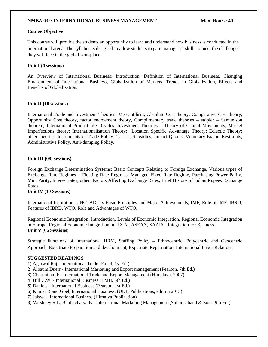#### **NMBA 032: INTERNATIONAL BUSINESS MANAGEMENT Max. Hours: 40**

#### **Course Objective**

This course will provide the students an opportunity to learn and understand how business is conducted in the international arena. The syllabus is designed to allow students to gain managerial skills to meet the challenges they will face in the global workplace.

#### **Unit I (6 sessions)**

An Overview of International Business: Introduction, Definition of International Business, Changing Environment of International Business, Globalization of Markets, Trends in Globalization, Effects and Benefits of Globalization.

#### **Unit II (10 sessions)**

International Trade and Investment Theories: Mercantilism; Absolute Cost theory, Comparative Cost theory, Opportunity Cost theory, factor endowment theory, Complimentary trade theories – stopler – Samuelson theorem, International Product life Cycles. Investment Theories – Theory of Capital Movements, Market Imperfections theory; Internationalisation Theory; Location Specific Advantage Theory; Eclectic Theory; other theories, Instruments of Trade Policy- Tariffs, Subsidies, Import Quotas, Voluntary Export Restraints, Administrative Policy, Anti-dumping Policy.

#### **Unit III (08) sessions)**

Foreign Exchange Determination Systems: Basic Concepts Relating to Foreign Exchange, Various types of Exchange Rate Regimes – Floating Rate Regimes, Managed Fixed Rate Regime, Purchasing Power Parity, Mint Parity, Interest rates, other Factors Affecting Exchange Rates, Brief History of Indian Rupees Exchange Rates.

#### **Unit IV (10 Sessions)**

International Institution: UNCTAD, Its Basic Principles and Major Achievements, IMF, Role of IMF, IBRD, Features of IBRD, WTO, Role and Advantages of WTO.

Regional Economic Integration: Introduction, Levels of Economic Integration, Regional Economic Integration in Europe, Regional Economic Integration in U.S.A., ASEAN, SAARC, Integration for Business. **Unit V (06 Sessions)** 

Strategic Functions of International HRM, Staffing Policy – Ethnocentric, Polycentric and Geocentric Approach, Expatriate Preparation and development, Expatriate Repatriation, International Labor Relations

#### **SUGGESTED READINGS**

- 1) Agarwal Raj International Trade (Excel, 1st Ed.)
- 2) Albaum Duerr International Marketing and Export management (Pearson, 7th Ed.)
- 3) Cherunilam F International Trade and Export Management (Himalaya, 2007)
- 4) Hill C.W. International Business (TMH, 5th Ed.)
- 5) Daniels International Business (Pearson, 1st Ed.)
- 6) Kumar R and Goel, International Business, (UDH Publications, edition 2013)
- 7) Jaiswal- International Business (Himalya Publication)
- 8) Varshney R.L, Bhattacharya B International Marketing Management (Sultan Chand & Sons, 9th Ed.)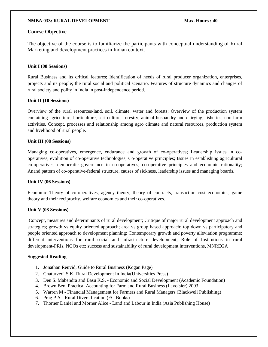#### **NMBA 033: RURAL DEVELOPMENT Max. Hours : 40**

#### **Course Objective**

The objective of the course is to familiarize the participants with conceptual understanding of Rural Marketing and development practices in Indian context.

#### **Unit I (08 Sessions)**

Rural Business and its critical features; Identification of needs of rural producer organization, enterprises, projects and its people; the rural social and political scenario. Features of structure dynamics and changes of rural society and polity in India in post-independence period.

#### **Unit II (10 Sessions)**

Overview of the rural resources-land, soil, climate, water and forests; Overview of the production system containing agriculture, horticulture, seri-culture, forestry, animal husbandry and dairying, fisheries, non-farm activities. Concept, processes and relationship among agro climate and natural resources, production system and livelihood of rural people.

#### **Unit III (08 Sessions)**

Managing co-operatives, emergence, endurance and growth of co-operatives; Leadership issues in cooperatives, evolution of co-operative technologies; Co-operative principles; Issues in establishing agricultural co-operatives, democratic governance in co-operatives; co-operative principles and economic rationality; Anand pattern of co-operative-federal structure, causes of sickness, leadership issues and managing boards.

#### **Unit IV (06 Sessions)**

Economic Theory of co-operatives, agency theory, theory of contracts, transaction cost economics, game theory and their reciprocity, welfare economics and their co-operatives.

#### **Unit V (08 Sessions)**

 Concept, measures and determinants of rural development; Critique of major rural development approach and strategies; growth vs equity oriented approach; area vs group based approach; top down vs participatory and people oriented approach to development planning; Contemporary growth and poverty alleviation programme; different interventions for rural social and infrastructure development; Role of Institutions in rural development-PRIs, NGOs etc; success and sustainability of rural development interventions, MNREGA

#### **Suggested Reading**

- 1. Jonathan Reuvid, Guide to Rural Business (Kogan Page)
- 2. Chaturvedi S.K.-Rural Development In India(Universities Press)
- 3. Deu S. Mahendra and Basu K.S. Economic and Social Development (Academic Foundation)
- 4. Brown Ben, Practical Accounting for Farm and Rural Business (Lavoisier) 2003.
- 5. Warren M Financial Management for Farmers and Rural Managers (Blackwell Publishing)
- 6. Prag P A Rural Diversification (EG Books)
- 7. Thorner Daniel and Morner Alice Land and Labour in India (Asia Publishing House)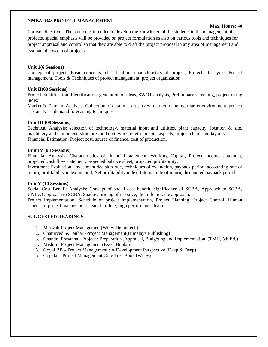#### **NMBA 034: PROJECT MANAGEMENT**

#### **Max. Hours: 40**

Course Objective : The course is intended to develop the knowledge of the students in the management of projects, special emphasis will be provided on project formulation as also on various tools and techniques for project appraisal and control so that they are able to draft the project proposal in any area of management and evaluate the worth of projects.

#### **Unit 1(6 Sessions)**

Concept of project: Basic concepts, classification, characteristics of project, Project life cycle, Project management, Tools & Techniques of project management, project organization.

#### **Unit II(08 Sessions)**

Project identification: Identification, generation of ideas, SWOT analysis, Preliminary screening, project rating index.

Market & Demand Analysis: Collection of data, market survey, market planning, market environment, project risk analysis, demand forecasting techniques.

#### **Unit III (08 Sessions)**

Technical Analysis: selection of technology, material input and utilities, plant capacity, location  $\&$  site, machinery and equipment, structures and civil work, environmental aspects, project charts and layouts. Financial Estimation: Project cost, source of finance, cost of production.

#### **Unit IV (08 Sessions)**

Financial Analysis: Characteristics of financial statement, Working Capital, Project income statement, projected cash flow statement, projected balance sheet, projected profitability.

Investment Evaluation: Investment decision rule, techniques of evaluation, payback period, accounting rate of return, profitability index method, Net profitability index, Internal rate of return, discounted payback period.

#### **Unit V (10 Sessions)**

Social Cost Benefit Analysis: Concept of social cost benefit, significance of SCBA, Approach to SCBA, UNIDO approach to SCBA, Shadow pricing of resource, the little miracle approach,

Project Implementation: Schedule of project implementation, Project Planning, Project Control, Human aspects of project management, team building, high performance team.

#### **SUGGESTED READINGS**

- 1. Marwah-Project Management(Wiley Dreamtech)
- 2. Chaturvedi & Jauhari-Project Management(Himalaya Publishing)
- 3. Chandra Prasanna Project : Preparation ,Appraisal, Budgeting and Implementation. (TMH, 5th Ed.)
- 4. Mishra Project Management (Excel Books)
- 5. Goyal BB Project Management : A Development Perspective (Deep & Deep)
- 6. Gopalan- Project Management Core Text Book (Wiley)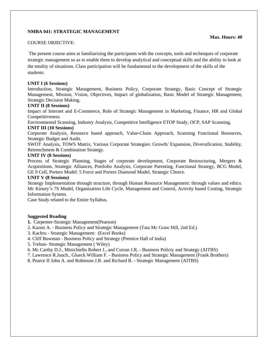#### **NMBA 041: STRATEGIC MANAGEMENT**

#### COURSE OBJECTIVE:

 The present course aims at familiarizing the participants with the concepts, tools and techniques of corporate strategic management so as to enable them to develop analytical and conceptual skills and the ability to look at the totality of situations. Class participation will be fundamental to the development of the skills of the students.

#### **UNIT I (6 Sessions)**

Introduction, Strategic Management, Business Policy, Corporate Strategy, Basic Concept of Strategic Management, Mission, Vision, Objectives, Impact of globalization, Basic Model of Strategic Management, Strategic Decision Making.

#### **UNIT II (8 Sessions)**

Impact of Internet and E-Commerce, Role of Strategic Management in Marketing, Finance, HR and Global Competitiveness.

Environmental Scanning, Industry Analysis, Competitive Intelligence ETOP Study, OCP, SAP Scanning, **UNIT III (10 Sessions)** 

Corporate Analysis, Resource based approach, Value-Chain Approach, Scanning Functional Resources, Strategic Budget and Audit.

SWOT Analysis, TOWS Matrix, Various Corporate Strategies: Growth/ Expansion, Diversification, Stability, Retrenchment & Combination Strategy.

#### **UNIT IV (8 Sessions)**

Process of Strategic Planning, Stages of corporate development, Corporate Restructuring, Mergers & Acquisitions, Strategic Alliances, Portfolio Analysis, Corporate Parenting, Functional Strategy, BCG Model, GE 9 Cell, Porters Model: 5 Force and Porters Diamond Model, Strategic Choice.

#### **UNIT V (8 Sessions)**

Strategy Implementation through structure, through Human Resource Management: through values and ethics. Mc Kinsey's 7S Model, Organization Life Cycle, Management and Control, Activity based Costing, Strategic Information System.

Case Study related to the Entire Syllabus.

#### **Suggested Reading**

- **1.** Carpenter-Strategic Management(Pearson)
- 2. Kazmi A. Business Policy and Strategic Management (Tata Mc Graw Hill, 2nd Ed.)
- 3. Kachru Strategic Management: (Excel Books)
- 4. Cliff Bowman Business Policy and Strategy (Prentice Hall of India)
- 5. Trehan- Strategic Management ( Wiley)
- 6. Mc Carthy D.J., Minichiello Robert J., and Curran J.R. Business Policty and Strategy (AITBS)
- 7. Lawrence R.Jauch., Glueck William F. Business Policy and Strategic Management (Frank Brothers)
- 8. Pearce II John A. and Robinson J.R. and Richard B. Strategic Management (AITBS)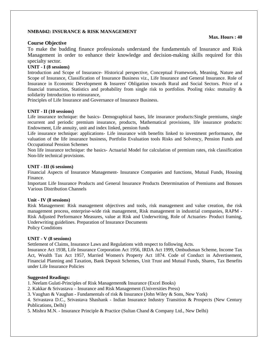#### **NMBA042: INSURANCE & RISK MANAGEMENT**

#### **Course Objective**

To make the budding finance professionals understand the fundamentals of Insurance and Risk Management in order to enhance their knowledge and decision-making skills required for this specialty sector.

#### **UNIT - I (8 sessions)**

Introduction and Scope of Insurance- Historical perspective, Conceptual Framework, Meaning, Nature and Scope of Insurance, Classification of Insurance Business viz., Life Insurance and General Insurance. Role of Insurance in Economic Development & Insurers' Obligation towards Rural and Social Sectors. Price of a financial transaction, Statistics and probability from single risk to portfolios. Pooling risks: mutuality & solidarity Introduction to reinsurance,

Principles of Life Insurance and Governance of Insurance Business.

#### **UNIT - II (10 sessions)**

Life insurance technique: the basics- Demographical bases, life insurance products:Single premiums, single recurrent and periodic premium insurance, products, Mathematical provisions, life insurance products: Endowment, Life annuity, unit and index linked, pension funds

Life insurance technique: applications- Life insurance with benefits linked to investment performance, the valuation of the life insurance business, Portfolio Evaluation tools Risks and Solvency, Pension Funds and Occupational Pension Schemes

Non life insurance technique: the basics- Actuarial Model for calculation of premium rates, risk classification Non-life technical provisions.

#### **UNIT - III (6 sessions)**

Financial Aspects of Insurance Management- Insurance Companies and functions, Mutual Funds, Housing Finance.

Important Life Insurance Products and General Insurance Products Determination of Premiums and Bonuses Various Distribution Channels

#### **Unit - IV (8 sessions)**

Risk Management: Risk management objectives and tools, risk management and value creation, the risk management process, enterprise-wide risk management, Risk management in industrial companies, RAPM - Risk Adjusted Performance Measures, value at Risk and Underwriting, Role of Actuaries- Product framing, Underwriting guidelines. Preparation of Insurance Documents Policy Conditions

# **UNIT - V (8 sessions)**

Settlement of Claims, Insurance Laws and Regulations with respect to following Acts.

Insurance Act 1938, Life Insurance Corporation Act 1956, IRDA Act 1999, Ombudsman Scheme, Income Tax Act, Wealth Tax Act 1957, Married Women's Property Act 1874. Code of Conduct in Advertisement, Financial Planning and Taxation, Bank Deposit Schemes, Unit Trust and Mutual Funds, Shares, Tax Benefits under Life Insurance Policies

#### **Suggested Readings:**

1. Neelam Gulati-Principles of Risk Management& Insurance (Excel Books)

2. Kakkar & Srivastava – Insurance and Risk Management (Universities Press)

- 3. Vaughan & Vaughan Fundamentals of risk & Insurance (John Wiley & Sons, New York)
- 4. Srivastava D.C., Srivastava Shashank Indian Insurance Industry Transition & Prospects (New Century Publications, Delhi)

5. Mishra M.N. - Insurance Principle & Practice (Sultan Chand & Company Ltd., New Delhi)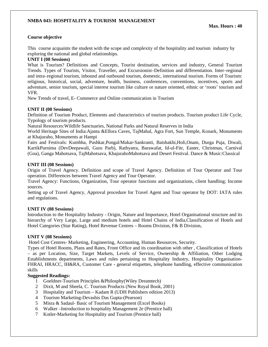### **NMBA 043: HOSPITALITY & TOURISM MANAGEMENT**

#### **Course objective**

This course acquaints the student with the scope and complexity of the hospitality and tourism industry by exploring the national and global relationships.

#### **UNIT I (08 Sessions)**

What is Tourism? Definitions and Concepts, Tourist destination, services and industry, General Tourism Trends. Types of Tourists, Visitor, Traveller, and Excursionist–Definition and differentiation. Inter–regional and intra–regional tourism, inbound and outbound tourism, domestic, international tourism. Forms of Tourism: religious, historical, social, adventure, health, business, conferences, conventions, incentives, sports and adventure, senior tourism, special interest tourism like culture or nature oriented, ethnic or 'roots' tourism and VFR.

New Trends of travel, E- Commerce and Online communication in Tourism

#### **UNIT II (08 Sessions)**

Definition of Tourism Product, Elements and characteristics of tourism products. Tourism product Life Cycle, Typology of tourism products.

Natural Resources:Wildlife Sanctuaries, National Parks and Natural Reserves in India

World Heritage Sites of India:Ajanta &Ellora Caves, TajMahal, Agra Fort, Sun Temple, Konark, Monuments at Khajuraho, Monuments at Hampi

Fairs and Festivals: Kumbha, Pushkar,Pongal/Makar-Sankranti, Baishakhi,Holi,Onam, Durga Puja, Diwali, KartikPurnima (DevDeepawali, Guru Parb), Rathyatra, Barawafat, Id-ul-Fitr, Easter, Christmas, Carnival (Goa), Ganga Mahotsava, TajMahotsava, KhajurahoMahotsava and Desert Festival. Dance & Music:Classical

#### **UNIT III (08 Sessions)**

Origin of Travel Agency. Definition and scope of Travel Agency. Definition of Tour Operator and Tour operation. Differences between Travel Agency and Tour Operator.

Travel Agency: Functions, Organization, Tour operator functions and organizations, client handling; Income sources.

Setting up of Travel Agency, Approval procedure for Travel Agent and Tour operator by DOT: IATA rules and regulations.

#### **UNIT IV (08 Sessions)**

Introduction to the Hospitality Industry - Origin, Nature and Importance, Hotel Organisational structure and its hierarchy of Very Large, Large and medium hotels and Hotel Chains of India,Classification of Hotels and Hotel Categories (Star Rating), Hotel Revenue Centres – Rooms Division, F& B Division,

#### **UNIT V (08 Sessions)**

Hotel Cost Centres- Marketing, Engineering, Accounting, Human Resources, Security.

Types of Hotel Rooms, Plans and Rates, Front Office and its coordination with other , Classification of Hotels – as per Location, Size, Target Markets, Levels of Service, Ownership & Affiliation, Other Lodging Establishments departments, Laws and rules pertaining to Hospitality Industry, Hospitality Organisation-FHRAI, HRACC, IH&RA, Customer Care - general etiquettes, telephone handling, effective communication skills

#### **Suggested Readings:**

- 1 Goeldner-Tourism Principles &Philosphy(Wiley Dreamtech)
- 2 Dixit, M and Sheela, C. Tourism Products (New Royal Book, 2001)
- 3 Hospitality and Tourism Kadam R (UDH Publishers edition 2013)
- 4 Tourism Marketing-Devashis Das Gupta-(Pearson)
- 5 Misra & Sadaul- Basic of Tourism Management (Excel Books)
- 6 Walker –Introduction to hospitality Management 2e (Prentice hall)
- 7 Kotler-Marketing for Hospitality and Tourism (Prentice hall)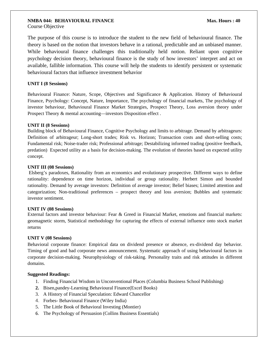# **NMBA 044: BEHAVIOURAL FINANCE Max. Hours : 40**

Course Objective

The purpose of this course is to introduce the student to the new field of behavioural finance. The theory is based on the notion that investors behave in a rational, predictable and an unbiased manner. While behavioural finance challenges this traditionally held notion. Reliant upon cognitive psychology decision theory, behavioural finance is the study of how investors' interpret and act on available, fallible information. This course will help the students to identify persistent or systematic behavioural factors that influence investment behavior

#### **UNIT I (8 Sessions)**

Behavioural Finance: Nature, Scope, Objectives and Significance & Application. History of Behavioural Finance, Psychology: Concept, Nature, Importance, The psychology of financial markets, The psychology of investor behaviour, Behavioural Finance Market Strategies, Prospect Theory, Loss aversion theory under Prospect Theory & mental accounting—investors Disposition effect .

#### **UNIT II (8 Sessions)**

Building block of Behavioural Finance, Cognitive Psychology and limits to arbitrage. Demand by arbitrageurs: Definition of arbitrageur; Long-short trades; Risk vs. Horizon; Transaction costs and short-selling costs; Fundamental risk; Noise-trader risk; Professional arbitrage; Destabilizing informed trading (positive feedback, predation) Expected utility as a basis for decision-making. The evolution of theories based on expected utility concept.

#### **UNIT III (08 Sessions)**

 Elsberg's paradoxes, Rationality from an economics and evolutionary prospective. Different ways to define rationality: dependence on time horizon, individual or group rationality. Herbert Simon and bounded rationality. Demand by average investors: Definition of average investor; Belief biases; Limited attention and categorization; Non-traditional preferences – prospect theory and loss aversion; Bubbles and systematic investor sentiment.

#### **UNIT IV (08 Sessions)**

External factors and investor behaviour: Fear & Greed in Financial Market, emotions and financial markets: geomagnetic storm, Statistical methodology for capturing the effects of external influence onto stock market returns

#### **UNIT V (08 Sessions)**

Behavioral corporate finance: Empirical data on dividend presence or absence, ex-dividend day behavior. Timing of good and bad corporate news announcement. Systematic approach of using behavioural factors in corporate decision-making. Neurophysiology of risk-taking. Personality traits and risk attitudes in different domains.

#### **Suggested Readings:**

- 1. Finding Financial Wisdom in Unconventional Places (Columbia Business School Publishing)
- **2.** Bisen,pandey-Learning Behavioural Finance(Excel Books)
- 3. A History of Financial Speculation: Edward Chancellor
- 4. Forbes- Behavioural Finance (Wiley India)
- 5. The Little Book of Behavioral Investing (Montier)
- 6. The Psychology of Persuasion (Collins Business Essentials)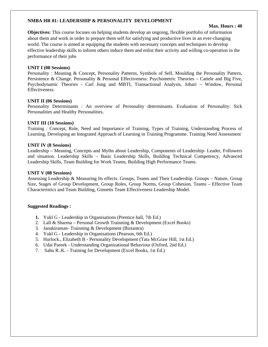#### **NMBA HR 01: LEADERSHIP & PERSONALITY DEVELOPMENT**

#### **Max. Hours : 40**

**Objectives:** This course focuses on helping students develop an ongoing, flexible portfolio of information about them and work in order to prepare them self for satisfying and productive lives in an ever-changing world. The course is aimed at equipping the students with necessary concepts and techniques to develop effective leadership skills to inform others induce them and enlist their activity and willing co-operation in the performance of their jobs

#### **UNIT I (08 Sessions)**

Personality : Meaning & Concept, Personality Patterns, Symbols of Self, Moulding the Personality Pattern, Persistence & Change. Personality & Personal Effectiveness: Psychometric Theories – Cattele and Big Five, Psychodynamic Theories - Carl Jung and MBTI, Transactional Analysis, Johari – Window, Personal Effectiveness.

#### **UNIT II (06 Sessions)**

Personality Determinants : An overview of Personality determinants. Evaluation of Personality: Sick Personalities and Healthy Personalities.

#### **UNIT III (10 Sessions)**

Training : Concept, Role, Need and Importance of Training, Types of Training, Understanding Process of Learning, Developing an Integrated Approach of Learning in Training Programme. Training Need Assessment

#### **UNIT IV (8 Sessions)**

Leadership – Meaning, Concepts and Myths about Leadership, Components of Leadership- Leader, Followers and situation. Leadership Skills – Basic Leadership Skills, Building Technical Competency, Advanced Leadership Skills, Team Building for Work Teams, Building High Performance Teams.

#### **UNIT V (08 Sessions)**

Assessing Leadership & Measuring Its effects. Groups, Teams and Their Leadership. Groups – Nature, Group Size, Stages of Group Development, Group Roles, Group Norms, Group Cohesion. Teams – Effective Team Characteristics and Team Building, Ginnetts Team Effectiveness Leadership Model.

#### **Suggested Readings :**

- **1.** Yukl G Leadership in Organisations (Prentice hall, 7th Ed.)
- 2. Lall & Sharma Personal Growth Trainning & Development (Excel Books)
- 3. Janakiraman- Trainning & Development (Biztantra)
- 4. Yukl G Leadership in Organisations (Pearson, 6th Ed.)
- 5. Hurlock., Elizabeth B Personality Development (Tata McGraw Hill, 1st Ed.)
- 6. Udai Pareek Understanding Organizational Behaviour (Oxford, 2nd Ed.)
- 7. Sahu R..K. Training for Development (Excel Books, 1st Ed.)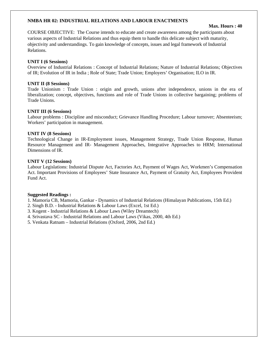#### **NMBA HR 02: INDUSTRIAL RELATIONS AND LABOUR ENACTMENTS**

#### **Max. Hours : 40**

COURSE OBJECTIVE: The Course intends to educate and create awareness among the participants about various aspects of Industrial Relations and thus equip them to handle this delicate subject with maturity, objectivity and understandings. To gain knowledge of concepts, issues and legal framework of Industrial Relations.

#### **UNIT I (6 Sessions)**

Overview of Industrial Relations : Concept of Industrial Relations; Nature of Industrial Relations; Objectives of IR; Evolution of IR in India ; Role of State; Trade Union; Employers' Organisation; ILO in IR.

#### **UNIT II (8 Sessions)**

Trade Unionism : Trade Union : origin and growth, unions after independence, unions in the era of liberalization; concept, objectives, functions and role of Trade Unions in collective bargaining; problems of Trade Unions.

#### **UNIT III (6 Sessions)**

Labour problems : Discipline and misconduct; Grievance Handling Procedure; Labour turnover; Absenteeism; Workers' participation in management.

#### **UNIT IV (8 Sessions)**

Technological Change in IR-Employment issues, Management Strategy, Trade Union Response, Human Resource Management and IR- Management Approaches, Integrative Approaches to HRM; International Dimensions of IR.

#### **UNIT V (12 Sessions)**

Labour Legislations: Industrial Dispute Act, Factories Act, Payment of Wages Act, Workmen's Compensation Act. Important Provisions of Employees' State Insurance Act, Payment of Gratuity Act, Employees Provident Fund Act.

#### **Suggested Readings :**

1. Mamoria CB, Mamoria, Gankar - Dynamics of Industrial Relations (Himalayan Publications, 15th Ed.)

- 2. Singh B.D. Industrial Relations & Labour Laws (Excel, 1st Ed.)
- 3. Kogent Industrial Relations & Labour Laws (Wiley Dreamtech)
- 4. Srivastava SC Industrial Relations and Labour Laws (Vikas, 2000, 4th Ed.)

5. Venkata Ratnam – Industrial Relations (Oxford, 2006, 2nd Ed.)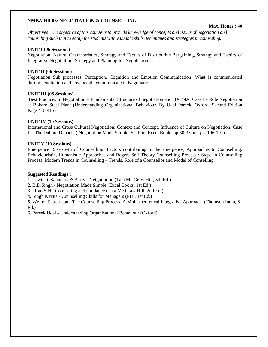#### **NMBA HR 03: NEGOTIATION & COUNSELLING**

#### **Max. Hours : 40**

Objectives: *The objective of this course is to provide knowledge of concepts and issues of negotiation and counseling such that to equip the students with valuable skills, techniques and strategies in counseling.* 

#### **UNIT I (06 Sessions)**

Negotiation: Nature, Characteristics, Strategy and Tactics of Distributive Bargaining, Strategy and Tactics of Integrative Negotiation; Strategy and Planning for Negotiation.

#### **UNIT II (06 Sessions)**

Negotiation Sub processes: Perception, Cognition and Emotion Communication: What is communicated during negotiation and how people communicate in Negotiation.

#### **UNIT III (08 Sessions)**

 Best Practices in Negotiation – Fundamental Structure of negotiation and BATNA. Case I - Role Negotiation at Bokaro Steel Plant (Understanding Organizational Behaviour. By Udai Pareek, Oxford, Second Edition Page 410-415).

#### **UNIT IV (10 Sessions)**

International and Cross Cultural Negotiation: Context and Concept, Influence of Culture on Negotiation: Case II - The Dabhol Debacle ( Negotiation Made Simple, SL Rao, Excel Books pp.30-35 and pp. 196-197).

#### **UNIT V (10 Sessions)**

Emergence & Growth of Counselling: Factors contributing to the emergence, Approaches to Counselling: Behaviouristic, Humanistic Approaches and Rogers Self Theory Counselling Process : Steps in Counselling Process. Modern Trends in Counselling – Trends, Role of a Counsellor and Model of Conselling.

#### **Suggested Readings :**

1. Lewicki, Saunders & Barry - Netgotiation (Tata Mc Graw Hill, 5th Ed.)

2. B.D.Singh - Negotiation Made Simple (Excel Books, 1st Ed.)

3. . Rao S N - Counseling and Guidance (Tata Mc Graw Hill, 2nd Ed.)

4. Singh Kavita - Counselling Skills for Managers (PHI, 1st Ed.)

5. Welfel, Patternson - The Counselling Process, A Multi theoretical Integrative Approach. (Thomson India, 6<sup>th</sup> Ed.)

6. Pareek Udai - Understanding Organisational Behaviour (Oxford)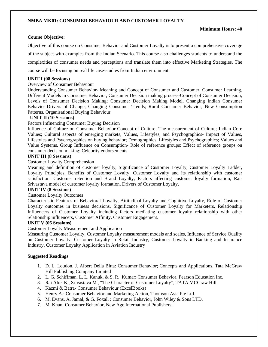#### **NMBA MK01: CONSUMER BEHAVIOUR AND CUSTOMER LOYALTY**

#### **Minimum Hours: 40**

#### **Course Objective:**

Objective of this course on Consumer Behavior and Customer Loyalty is to present a comprehensive coverage of the subject with examples from the Indian Scenario. This course also challenges students to understand the complexities of consumer needs and perceptions and translate them into effective Marketing Strategies. The course will be focusing on real life case-studies from Indian environment.

#### **UNIT I (08 Sessions)**

#### Overview of Consumer Behaviour

Understanding Consumer Behavior- Meaning and Concept of Consumer and Customer, Consumer Learning, Different Models in Consumer Behavior, Consumer Decision making process-Concept of Consumer Decision; Levels of Consumer Decision Making; Consumer Decision Making Model, Changing Indian Consumer Behavior-Drivers of Change; Changing Consumer Trends; Rural Consumer Behavior; New Consumption Patterns, Organisational Buying Behaviour

#### **UNIT II (10 Sessions)**

Factors Influencing Consumer Buying Decision

Influence of Culture on Consumer Behavior-Concept of Culture; The measurement of Culture; Indian Core Values; Cultural aspects of emerging markets, Values, Lifestyles, and Psychographics- Impact of Values, Lifestyles and Psychographics on buying behavior; Demographics, Lifestyles and Psychographics; Values and Value Systems, Group Influence on Consumption- Role of reference groups; Effect of reference groups on consumer decision making; Celebrity endorsements

#### **UNIT III (8 Sessions)**

#### Customer Loyalty Comprehension

Meaning and definition of customer loyalty, Significance of Customer Loyalty, Customer Loyalty Ladder, Loyalty Principles, Benefits of Customer Loyalty, Customer Loyalty and its relationship with customer satisfaction, Customer retention and Brand Loyalty, Factors affecting customer loyalty formation, Rai-Srivastava model of customer loyalty formation, Drivers of Customer Loyalty.

#### **UNIT IV (8 Sessions)**

#### Customer Loyalty Outcomes

Characteristic Features of Behavioral Loyalty, Attitudinal Loyalty and Cognitive Loyalty, Role of Customer Loyalty outcomes in business decisions, Significance of Customer Loyalty for Marketers, Relationship Influencers of Customer Loyalty including factors mediating customer loyalty relationship with other relationship influencers, Customer Affinity, Customer Engagement.

#### **UNIT V (06 Sessions)**

#### Customer Loyalty Measurement and Application

Measuring Customer Loyalty, Customer Loyalty measurement models and scales, Influence of Service Quality on Customer Loyalty, Customer Loyalty in Retail Industry, Customer Loyalty in Banking and Insurance Industry, Customer Loyalty Application in Aviation Industry

#### **Suggested Readings**

- 1. D. L. Loudon, J. Albert Della Bitta: Consumer Behavior; Concepts and Applications, Tata McGraw Hill Publishing Company Limited
- 2. L. G. Schiffman, L. L. Kanuk, & S. R. Kumar: Consumer Behavior, Pearson Education Inc.
- 3. Rai Alok K., Srivastava M., "The Character of Customer Loyalty", TATA MCGraw Hill
- 4. Kazmi & Batra- Consumer Behaviour (ExcelBooks)
- 5. Henry A.: Consumer Behavior and Marketing Action, Thomson Asia Pte Ltd.
- 6. M. Evans, A. Jamal, & G. Foxall : Consumer Behavior, John Wiley & Sons LTD.
- 7. M. Khan: Consumer Behavior, New Age International Publishers.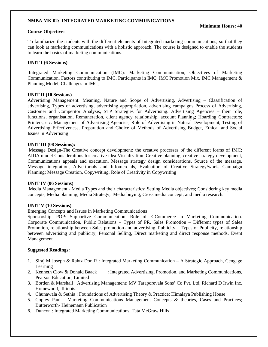#### **NMBA MK 02: INTEGRATED MARKETING COMMUNICATIONS**

#### **Course Objective:**

#### **Minimum Hours: 40**

To familiarize the students with the different elements of Integrated marketing communications, so that they can look at marketing communications with a holistic approach**.** The course is designed to enable the students to learn the basics of marketing communications.

#### **UNIT I (6 Sessions)**

 Integrated Marketing Communication (IMC): Marketing Communication, Objectives of Marketing Communication, Factors contributing to IMC, Participants in IMC, IMC Promotion Mix, IMC Management & Planning Model, Challenges in IMC,

#### **UNIT II (10 Sessions)**

Advertising Management: Meaning, Nature and Scope of Advertising, Advertising – Classification of advertising, Types of advertising, advertising appropriation, advertising campaigns Process of Advertising, Customer and Competitor Analysis, STP Strategies for Advertising. Advertising Agencies – their role, functions, organisation, Remuneration, client agency relationship, account Planning; Hoarding Contractors; Printers, etc. Management of Advertising Agencies, Role of Advertising in Natural Development, Testing of Advertising Effectiveness, Preparation and Choice of Methods of Advertising Budget, Ethical and Social Issues in Advertising

#### **UNIT III (08 Sessions):**

Message Design-The Creative concept development; the creative processes of the different forms of IMC; AIDA model Considerations for creative idea Visualization. Creative planning, creative strategy development, Communications appeals and execution, Message strategy design considerations, Source of the message, Message integration, Advertorials and Infomercials, Evaluation of Creative Strategy/work. Campaign Planning: Message Creation, Copywriting. Role of Creativity in Copywriting

#### **UNIT IV (06 Sessions)**

 Media Management - Media Types and their characteristics; Setting Media objectives; Considering key media concepts; Media planning; Media Strategy; Media buying; Cross media concept; and media research.

#### **UNIT V (10 Sessions)**

Emerging Concepts and Issues in Marketing Communications

Sponsorship: POP: Supportive Communication, Role of E-Commerce in Marketing Communication. Corporate Communication, Public Relations – Types of PR, Sales Promotion – Different types of Sales Promotion, relationship between Sales promotion and advertising, Publicity – Types of Publicity, relationship between advertising and publicity, Personal Selling, Direct marketing and direct response methods, Event Management

#### **Suggested Readings:**

- 1. Siraj M Joseph & Rahtz Don R : Integrated Marketing Communication A Strategic Approach, Cengage Learning
- 2. Kenneth Clow & Donald Baack : Integrated Advertising, Promotion, and Marketing Communications, Pearson Education, Limited
- 3. Borden & Marshall : Advertising Management; MV Taraporevala Sons' Co Pvt. Ltd, Richard D Irwin Inc. Homewood, Illinois.
- 4. Chunawala & Sethia : Foundations of Advertising Theory & Practice; Himalaya Publishing House
- 5. Copley Paul : Marketing Communications Management Concepts & theories, Cases and Practices; Butterworth- Heinemann Publication
- 6. Duncon : Integrated Marketing Communications, Tata McGraw Hills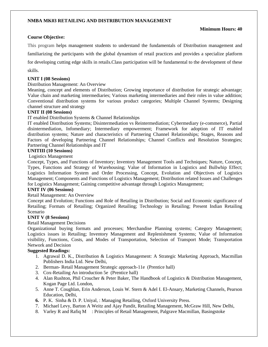#### **NMBA MK03 RETAILING AND DISTRIBUTION MANAGEMENT**

#### **Minimum Hours: 40**

#### **Course Objective:**

This program helps management students to understand the fundamentals of Distribution management and familiarizing the participants with the global dynamism of retail practices and provides a specialize platform for developing cutting edge skills in retails.Class participation will be fundamental to the development of these skills.

#### **UNIT I (08 Sessions)**

#### Distribution Management: An Overview

Meaning, concept and elements of Distribution; Growing importance of distribution for strategic advantage; Value chain and marketing intermediaries; Various marketing intermediaries and their roles in value addition; Conventional distribution systems for various product categories; Multiple Channel Systems; Designing channel structure and strategy

#### **UNIT II (08 Sessions)**

IT enabled Distribution Systems & Channel Relationships

IT enabled Distribution Systems; Disintermediation vs Reintermediation; Cybermediary (e-commerce), Partial disintermediation, Infomediary; Intermediary empowerment; Framework for adoption of IT enabled distribution systems; Nature and characteristics of Partnering Channel Relationships; Stages, Reasons and Factors of developing Partnering Channel Relationships; Channel Conflicts and Resolution Strategies; Partnering Channel Relationships and IT

#### **UNITIII (10 Sessions)**

Logistics Management

Concept, Types, and Functions of Inventory; Inventory Management Tools and Techniques; Nature, Concept, Types, Functions and Strategy of Warehousing; Value of Information in Logistics and Bullwhip Effect; Logistics Information System and Order Processing, Concept, Evolution and Objectives of Logistics Management; Components and Functions of Logistics Management; Distribution related Issues and Challenges for Logistics Management; Gaining competitive advantage through Logistics Management;

#### **UNIT IV (06 Sessions)**

Retail Management: An Overview

Concept and Evolution; Functions and Role of Retailing in Distribution; Social and Economic significance of Retailing; Formats of Retailing; Organized Retailing; Technology in Retailing; Present Indian Retailing Scenario

#### **UNIT V (8 Sessions)**

Retail Management Decisions

Organizational buying formats and processes; Merchandise Planning systems; Category Management; Logistics issues in Retailing; Inventory Management and Replenishment Systems; Value of Information visibility, Functions, Costs, and Modes of Transportation, Selection of Transport Mode; Transportation Network and Decision

#### **Suggested Readings:**

- 1. Agrawal D. K., Distribution & Logistics Management: A Strategic Marketing Approach, Macmillan Publishers India Ltd. New Delhi,
- 2. Berman- Retail Management Strategic approach-11e (Prentice hall)
- 3. Cox-Retailing An introduction 5e (Prentice hall)
- 4. Alan Rushton, Phil Croucher & Peter Baker, The Handbook of Logistics & Distribution Management, Kogan Page Ltd. London,
- 5. Anne T. Coughlan, Erin Anderson, Louis W. Stern & Adel I. El-Ansary, Marketing Channels, Pearson Education, Delhi,
- **6.** P. K. Sinha & D. P. Uniyal, : Managing Retailing, Oxford University Press.
- 7. Michael Levy, Barton A Weitz and Ajay Pandit, Retailing Management, McGraw Hill, New Delhi,
- 8. Varley R and Rafiq M : Principles of Retail Management, Palgrave Macmillan, Basingstoke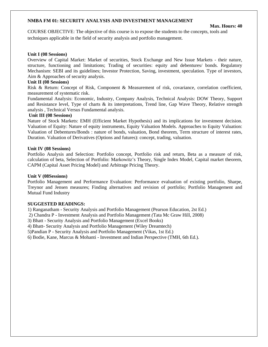#### **NMBA FM 01: SECURITY ANALYSIS AND INVESTMENT MANAGEMENT**

#### **Max. Hours: 40**

COURSE OBJECTIVE: The objective of this course is to expose the students to the concepts, tools and techniques applicable in the field of security analysis and portfolio management.

#### **Unit I (08 Sessions)**

Overview of Capital Market: Market of securities, Stock Exchange and New Issue Markets - their nature, structure, functioning and limitations; Trading of securities: equity and debentures/ bonds. Regulatory Mechanism: SEBI and its guidelines; Investor Protection, Saving, investment, speculation. Type of investors, Aim & Approaches of security analysis.

#### **Unit II (08 Sessions)**

Risk & Return: Concept of Risk, Component & Measurement of risk, covariance, correlation coefficient, measurement of systematic risk.

Fundamental Analysis: Economic, Industry, Company Analysis, Technical Analysis: DOW Theory, Support and Resistance level, Type of charts  $\&$  its interpretations, Trend line, Gap Wave Theory, Relative strength analysis , Technical Versus Fundamental analysis.

#### **Unit III (08 Sessions)**

Nature of Stock Markets: EMH (Efficient Market Hypothesis) and its implications for investment decision. Valuation of Equity: Nature of equity instruments, Equity Valuation Models. Approaches to Equity Valuation: Valuation of Debentures/Bonds : nature of bonds, valuation, Bond theorem, Term structure of interest rates, Duration. Valuation of Derivatives (Options and futures): concept, trading, valuation.

#### **Unit IV (08 Sessions)**

Portfolio Analysis and Selection: Portfolio concept, Portfolio risk and return, Beta as a measure of risk, calculation of beta, Selection of Portfolio: Markowitz's Theory, Single Index Model, Capital market theorem, CAPM (Capital Asset Pricing Model) and Arbitrage Pricing Theory.

#### **Unit V (08Sessions)**

Portfolio Management and Performance Evaluation: Performance evaluation of existing portfolio, Sharpe, Treynor and Jensen measures; Finding alternatives and revision of portfolio; Portfolio Management and Mutual Fund Industry

#### **SUGGESTED READINGS:**

1) Ranganatham - Security Analysis and Portfolio Management (Pearson Education, 2st Ed.)

2) Chandra P - Investment Analysis and Portfolio Management *(*Tata Mc Graw Hill, 2008)

3) Bhatt - Security Analysis and Portfolio Management (Excel Books)

4) Bhatt- Security Analysis and Portfolio Management (Wiley Dreamtech)

5)Pandian P - Security Analysis and Portfolio Management (Vikas, 1st Ed.)

6) Bodie, Kane, Marcus & Mohanti - Investment and Indian Perspective (TMH, 6th Ed.).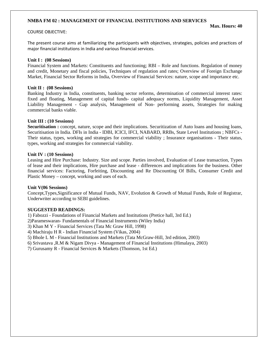#### **NMBA FM 02 : MANAGEMENT OF FINANCIAL INSTITUTIONS AND SERVICES**

#### COURSE OBJECTIVE:

**Max. Hours: 40** 

The present course aims at familiarizing the participants with objectives, strategies, policies and practices of major financial institutions in India and various financial services.

#### **Unit I : (08 Sessions)**

Financial System and Markets: Constituents and functioning; RBI – Role and functions. Regulation of money and credit, Monetary and fiscal policies, Techniques of regulation and rates; Overview of Foreign Exchange Market, Financial Sector Reforms in India, Overview of Financial Services: nature, scope and importance etc.

#### **Unit II : (08 Sessions)**

Banking Industry in India, constituents, banking sector reforms, determination of commercial interest rates: fixed and floating, Management of capital funds- capital adequacy norms, Liquidity Management, Asset Liability Management - Gap analysis, Management of Non- performing assets, Strategies for making commercial banks viable.

#### **Unit III : (10 Sessions)**

**Securitisation :** concept, nature, scope and their implications. Securitization of Auto loans and housing loans, Securitisation in India. DFIs in India - IDBI, ICICI, IFCI, NABARD, RRBs, State Level Institutions ; NBFCs - Their status, types, working and strategies for commercial viability ; Insurance organisations **-** Their status, types, working and strategies for commercial viability.

#### **Unit IV : (10 Sessions)**

Leasing and Hire Purchase: Industry. Size and scope. Parties involved, Evaluation of Lease transaction, Types of lease and their implications, Hire purchase and lease - differences and implications for the business. Other financial services: Factoring, Forfeiting, Discounting and Re Discounting Of Bills, Consumer Credit and Plastic Money – concept, working and uses of each.

#### **Unit V(06 Sessions)**

Concept,Types,Significance of Mutual Funds, NAV, Evolution & Growth of Mutual Funds, Role of Registrar, Underwriter according to SEBI guidelines.

#### **SUGGESTED READINGS:**

1) Fabozzi - Foundations of Financial Markets and Institutions (Pretice hall, 3rd Ed.)

2)Parameswaran- Fundamentals of Financial Instruments (Wiley India)

3) Khan M Y - Financial Services (Tata Mc Graw Hill, 1998)

4) Machiraju H R - Indian Financial System (Vikas, 2004)

5) Bhole L M - Financial Institutions and Markets (Tata McGraw-Hill, 3rd edition, 2003)

6) Srivastava ,R.M & Nigam Divya - Management of Financial Institutions (Himalaya, 2003)

7) Gurusamy R - Financial Services & Markets (Thomson, 1st Ed.)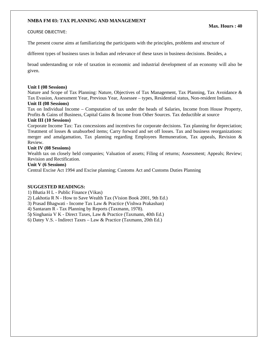#### **NMBA FM 03: TAX PLANNING AND MANAGEMENT**

#### COURSE OBJECTIVE:

The present course aims at familiarizing the participants with the principles, problems and structure of

different types of business taxes in Indian and relevance of these taxes in business decisions. Besides, a

broad understanding or role of taxation in economic and industrial development of an economy will also be given.

#### **Unit I (08 Sessions)**

Nature and Scope of Tax Planning: Nature, Objectives of Tax Management, Tax Planning, Tax Avoidance & Tax Evasion, Assessment Year, Previous Year, Assessee – types, Residential status, Non-resident Indians.

#### **Unit II (08 Sessions)**

Tax on Individual Income – Computation of tax under the heads of Salaries, Income from House Property, Profits & Gains of Business, Capital Gains & Income from Other Sources. Tax deductible at source

#### **Unit III (10 Sessions)**

Corporate Income Tax: Tax concessions and incentives for corporate decisions. Tax planning for depreciation; Treatment of losses & unabsorbed items; Carry forward and set off losses. Tax and business reorganizations: merger and amalgamation, Tax planning regarding Employees Remuneration, Tax appeals, Revision & Review.

#### **Unit IV (08 Sessions)**

Wealth tax on closely held companies; Valuation of assets; Filing of returns; Assessment; Appeals; Review; Revision and Rectification.

#### **Unit V (6 Sessions)**

Central Excise Act 1994 and Excise planning; Customs Act and Customs Duties Planning

#### **SUGGESTED READINGS:**

1) Bhatia H L - Public Finance (Vikas)

2) Lakhotia R N - How to Save Wealth Tax (Vision Book 2001, 9th Ed.)

3) Prasad Bhagwati - Income Tax Law & Practice (Vishwa Prakashan)

4) Santaram R - Tax Planning by Reports (Taxmann, 1978).

5**)** Singhania V K - Direct Taxes, Law & Practice (Taxmann, 40th Ed.)

6) Datey V.S. - Indirect Taxes – Law & Practice (Taxmann, 20th Ed.)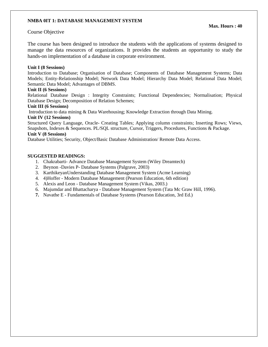#### **NMBA 0IT 1: DATABASE MANAGEMENT SYSTEM**

#### Course Objective

The course has been designed to introduce the students with the applications of systems designed to manage the data resources of organizations. It provides the students an opportunity to study the hands-on implementation of a database in corporate environment.

#### **Unit I (8 Sessions)**

Introduction to Database; Organisation of Database; Components of Database Management Systems; Data Models; Entity-Relationship Model; Network Data Model; Hierarchy Data Model; Relational Data Model; Semantic Data Model; Advantages of DBMS.

#### **Unit II (6 Sessions)**

Relational Database Design : Integrity Constraints; Functional Dependencies; Normalisation; Physical Database Design; Decomposition of Relation Schemes;

#### **Unit III (6 Sessions)**

Introduction to data mining & Data Warehousing; Knowledge Extraction through Data Mining.

#### **Unit IV (12 Sessions)**

Structured Query Language, Oracle- Creating Tables; Applying column constraints; Inserting Rows; Views, Snapshots, Indexes & Sequences. PL/SQL structure, Cursor, Triggers, Procedures, Functions & Package.

#### **Unit V (8 Sessions)**

Database Utilities; Security, Object/Basic Database Administration/ Remote Data Access.

#### **SUGGESTED READINGS:**

- 1. Chakrabarti- Advance Database Management System (Wiley Dreamtech)
- 2. Beynon -Davies P- Database Systems (Palgrave, 2003)
- 3. KarthikeyanUnderstanding Database Management System (Acme Learning)
- 4. 4)Hoffer Modern Database Management (Pearson Education, 6th edition)
- 5. Alexis and Leon Database Management System (Vikas, 2003.)
- 6. Majumdar and Bhattacharya Database Management System (Tata Mc Graw Hill, 1996).
- **7.** Navathe E Fundamentals of Database Systems (Pearson Education, 3rd Ed.)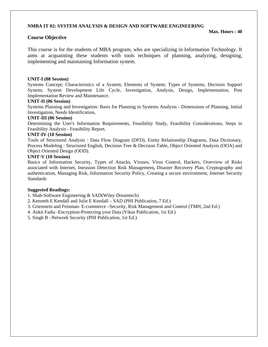#### **NMBA IT 02: SYSTEM ANALYSIS & DESIGN AND SOFTWARE ENGINEERING**

#### **Course Objective**

This course is for the students of MBA program, who are specializing in Information Technology. It aims at acquainting these students with tools techniques of planning, analyzing, designing, implementing and maintaining Information system.

#### **UNIT-I (08 Session)**

Systems Concept; Characteristics of a System; Elements of System; Types of Systems; Decision Support System; System Development Life Cycle, Investigation, Analysis, Design, Implementation, Post Implementation Review and Maintenance.

#### **UNIT-II (06 Session)**

Systems Planning and Investigation: Basis for Planning in Systems Analysis - Dimensions of Planning, Initial Investigation, Needs Identification,

#### **UNIT-III (06 Session)**

Determining the User's Information Requirements, Feasibility Study, Feasibility Considerations, Steps in Feasibility Analysis - Feasibility Report.

#### **UNIT-IV (10 Session)**

Tools of Structured Analysis : Data Flow Diagram (DFD), Entity Relationship Diagrams, Data Dictionary, Process Modeling : Structured English, Decision Tree & Decision Table, Object Oriented Analysis (OOA) and Object Oriented Design (OOD).

#### **UNIT-V (10 Session)**

Basics of Information Security, Types of Attacks, Viruses, Virus Control, Hackers, Overview of Risks associated with Internet, Intrusion Detection Risk Management**,** Disaster Recovery Plan, Cryptography and authentication, Managing Risk, Information Security Policy, Creating a secure environment, Internet Security **Standards** 

#### **Suggested Readings:**

- 1. Shah-Software Engineering & SAD(Wiley Dreamtech)
- 2. Kenneth E Kendall and Julie E Kendall SAD (PHI Publication, 7 Ed.)
- 3. Grienstein and Feinman- E-commerce –Security, Risk Management and Control (TMH, 2nd Ed.)
- 4. Ankit Fadia -Encryption-Protecting your Data (Vikas Publication, 1st Ed.)
- 5. Singh B –Network Security (PHI Publication, 1st Ed.)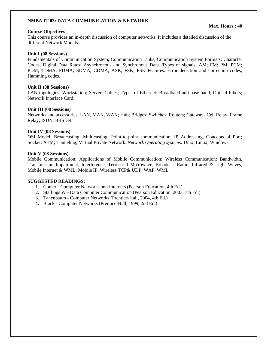#### **NMBA IT 03: DATA COMMUNICATION & NETWORK**

#### **Course Objectives**

This course provides an in-depth discussion of computer networks. It includes a detailed discussion of the different Network Models..

#### **Unit I (08 Sessions)**

Fundamentals of Communication System; Communication Links, Communication System Formats; Character Codes, Digital Data Rates; Asynchronous and Synchronous Data. Types of signals: AM; FM; PM; PCM; PDM; TDMA; FDMA; SDMA; CDMA; ASK; FSK; PSK Features: Error detection and correction codes; Hamming codes.

#### **Unit II (08 Sessions)**

LAN topologies: Workstation; Server; Cables; Types of Ethernet; Broadband and base-band; Optical Fibers; Network Interface Card.

#### **Unit III (08 Sessions)**

Networks and accessories: LAN, MAN, WAN; Hub; Bridges; Switches; Routers; Gateways Cell Relay; Frame Relay; ISDN; B-ISDN

#### **Unit IV (08 Sessions)**

OSI Model; Broadcasting; Multicasting; Point-to-point communication; IP Addressing, Concepts of Port; Socket; ATM; Tunneling; Virtual Private Network. *Network Operating systems:* Unix; Linux; Windows.

#### **Unit V (08 Sessions)**

Mobile Communication: Applications of Mobile Communication; Wireless Communication: Bandwidth, Transmission Impairment, Interference, Terrestrial Microwave, Broadcast Radio, Infrared & Light Waves, Mobile Internet & WML: Mobile IP, Wireless TCP& UDP, WAP, WML

#### **SUGGESTED READINGS:**

- 1. Comer Computer Networks and Internets (Pearson Education, 4th Ed.)
- 2. Stallings W Data Computer Communication (Pearson Education, 2003, 7th Ed.)
- 3. Tanenbaum Computer Networks (Prentice-Hall, 2004, 4th Ed.)
- **4.** Black Computer Networks (Prentice-Hall, 1999, 2nd Ed.)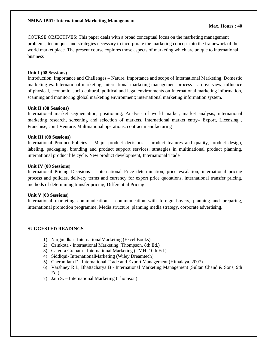#### **NMBA IB01: International Marketing Management**

COURSE OBJECTIVES: This paper deals with a broad conceptual focus on the marketing management problems, techniques and strategies necessary to incorporate the marketing concept into the framework of the world market place. The present course explores those aspects of marketing which are unique to international business

#### **Unit I (08 Sessions)**

Introduction, Importance and Challenges – Nature, Importance and scope of International Marketing, Domestic marketing vs. International marketing, International marketing management process – an overview, influence of physical, economic, socio-cultural, political and legal environments on International marketing information, scanning and monitoring global marketing environment; international marketing information system.

#### **Unit II (08 Sessions)**

International market segmentation, positioning, Analysis of world market, market analysis, international marketing research, screening and selection of markets, International market entry– Export, Licensing , Franchise, Joint Venture, Multinational operations, contract manufacturing

#### **Unit III (08 Sessions)**

International Product Policies – Major product decisions – product features and quality, product design, labeling, packaging, branding and product support services; strategies in multinational product planning, international product life cycle, New product development, International Trade

#### **Unit IV (08 Sessions)**

International Pricing Decisions – international Price determination, price escalation, international pricing process and policies, delivery terms and currency for export price quotations, international transfer pricing, methods of determining transfer pricing, Differential Pricing

#### **Unit V (08 Sessions)**

International marketing communication – communication with foreign buyers, planning and preparing, international promotion programme, Media structure, planning media strategy, corporate advertising.

#### **SUGGESTED READINGS**

- 1) Nargundkar- InternationalMarketing (Excel Books)
- 2) Czinkota International Marketing (Thompson, 8th Ed.)
- 3) Cateora Graham International Marketing (TMH, 10th Ed.)
- 4) Siddiqui- InternationalMarketing (Wiley Dreamtech)
- 5) Cherunilam F International Trade and Export Management (Himalaya, 2007)
- 6) Varshney R.L, Bhattacharya B International Marketing Management (Sultan Chand & Sons, 9th Ed.)
- 7) Jain S. International Marketing (Thomson)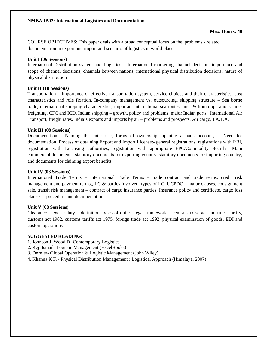**Max. Hours: 40** 

COURSE OBJECTIVES: This paper deals with a broad conceptual focus on the problems - related documentation in export and import and scenario of logistics in world place.

#### **Unit I (06 Sessions)**

International Distribution system and Logistics – International marketing channel decision, importance and scope of channel decisions, channels between nations, international physical distribution decisions, nature of physical distribution

#### **Unit II (10 Sessions)**

Transportation – Importance of effective transportation system, service choices and their characteristics, cost characteristics and role fixation, In-company management vs. outsourcing, shipping structure – Sea borne trade, international shipping characteristics, important international sea routes, liner & tramp operations, liner freighting, CFC and ICD, Indian shipping – growth, policy and problems, major Indian ports, International Air Transport, freight rates, India's exports and imports by air – problems and prospects, Air cargo, I.A.T.A.

#### **Unit III (08 Sessions)**

Documentation - Naming the enterprise, forms of ownership, opening a bank account, Need for documentation, Process of obtaining Export and Import License:- general registrations, registrations with RBI, registration with Licensing authorities, registration with appropriate EPC/Commodity Board's. Main commercial documents: statutory documents for exporting country, statutory documents for importing country, and documents for claiming export benefits.

#### **Unit IV (08 Sessions)**

International Trade Terms – International Trade Terms – trade contract and trade terms, credit risk management and payment terms,, LC  $\&$  parties involved, types of LC, UCPDC – major clauses, consignment sale, transit risk management – contract of cargo insurance parties, Insurance policy and certificate, cargo loss clauses – procedure and documentation

#### **Unit V (08 Sessions)**

Clearance – excise duty – definition, types of duties, legal framework – central excise act and rules, tariffs, customs act 1962, customs tariffs act 1975, foreign trade act 1992, physical examination of goods, EDI and custom operations

### **SUGGESTED READING:**

- 1. Johnson J, Wood D- Contemporary Logistics.
- 2. Reji Ismail- Logistic Management (ExcelBooks)
- 3. Dornier- Global Operation & Logistic Management (John Wiley)
- 4. Khanna K K Physical Distribution Management : Logistical Approach (Himalaya, 2007)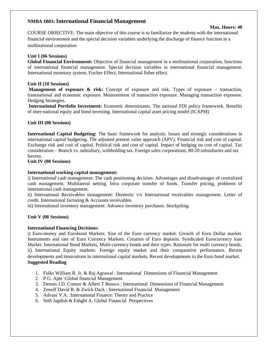# **NMBA IB03: International Financial Management** Max. Hours: 40

COURSE OBJECTIVE: The main objective of this course is to familiarize the students with the international financial environment and the special decision variables underlying the discharge of finance function in a multinational corporation

#### **Unit I (06 Sessions)**

**Global Financial Environment:** Objective of financial management in a multinational corporation, functions of international financial management. Special decision variables in international financial management. International monetary system, Fischer Effect, International fisher effect.

#### **Unit II (10 Sessions)**

**Management of exposure & risk:** Concept of exposure and risk. Types of exposure – transaction, transnational and economic exposure. Measurement of transaction exposure. Managing transaction exposure. Hedging Strategies.

**International Portfolio Investment:** Economic determinants. The national FDI policy framework. Benefits of inter-national equity and bond investing. International capital asset pricing model (ICAPM)

#### **Unit III (08 Sessions)**

**International Capital Budgeting:** The basic framework for analysis. Issues and strategic considerations in international capital budgeting. The adjusted present value approach (APV). Financial risk and cost of capital. Exchange risk and cost of capital. Political risk and cost of capital. Impact of hedging on cost of capital. Tax consideration – Branch vs. subsidiary, withholding tax. Foreign sales corporations, 80-20 subsidiaries and tax havens.

#### **Unit IV (08 Sessions)**

#### **International working capital management:**

i) International cash management: The cash positioning decision. Advantages and disadvantages of centralized cash management. Multilateral netting. Intra corporate transfer of funds. Transfer pricing, problems of international cash management.

ii) International Receivables management: Domestic v/s International receivables management. Letter of credit. International factoring & Accounts receivables.

iii) International inventory management: Advance inventory purchases. Stockpiling.

#### **Unit V (08 Sessions)**

#### **International Financing Decisions:**

i) Euro-money and Eurobond Markets. Size of the Euro currency market. Growth of Euro Dollar market. Instruments and rate of Euro Currency Markets. Creation of Euro deposits. Syndicated Eurocurrency loan Market. International Bond Markets, Multi-currency bonds and their types. Rationale for multi currency bonds. ii) International Equity markets: Foreign equity market and their comparative performance. Recent developments and innovations in international capital markets. Recent developments in the Euro bond market. **Suggested Reading** 

- 1. Folks William R. Jr. & Raj Agrawal : International Dimensions of Financial Management
- 2. P.G. Apte :Global financial Management
- 3. Dennis J.D. Connor & Albert T Bussco : International Dimensions of Financial Management
- 4. Zenoff David B. & Zwick Dack : International Financial Management
- 5. Advani V.A. :International Finance: Theory and Practice
- 6. Seth Jagdish & Eshghi A: Global Financial Perspectives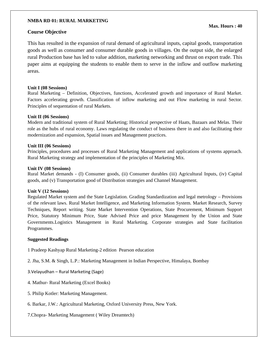#### **NMBA RD 01: RURAL MARKETING**

#### **Course Objective**

This has resulted in the expansion of rural demand of agricultural inputs, capital goods, transportation goods as well as consumer and consumer durable goods in villages. On the output side, the enlarged rural Production base has led to value addition, marketing networking and thrust on export trade. This paper aims at equipping the students to enable them to serve in the inflow and outflow marketing areas.

#### **Unit I (08 Sessions)**

Rural Marketing – Definition, Objectives, functions, Accelerated growth and importance of Rural Market. Factors accelerating growth. Classification of inflow marketing and out Flow marketing in rural Sector. Principles of sequentation of rural Markets.

#### **Unit II (06 Sessions)**

Modern and traditional system of Rural Marketing; Historical perspective of Haats, Bazaars and Melas. Their role as the hubs of rural economy. Laws regulating the conduct of business there in and also facilitating their modernization and expansion, Spatial issues and Management practices.

#### **Unit III (06 Sessions)**

Principles, procedures and processes of Rural Marketing Management and applications of systems approach. Rural Marketing strategy and implementation of the principles of Marketing Mix.

#### **Unit IV (08 Sessions)**

Rural Market demands - (I) Consumer goods, (ii) Consumer durables (iii) Agricultural Inputs, (iv) Capital goods, and (v) Transportation good of Distribution strategies and Channel Management.

#### **Unit V (12 Sessions)**

Regulated Market system and the State Legislation. Grading Standardization and legal metrology – Provisions of the relevant laws. Rural Market Intelligence, and Marketing Information System. Market Research, Survey Techniques, Report writing. State Market Intervention Operations, State Procurement, Minimum Support Price, Statutory Minimum Price, State Advised Price and price Management by the Union and State Governments.Logistics Management in Rural Marketing. Corporate strategies and State facilitation Programmes.

#### **Suggested Readings**

1 Pradeep Kashyap Rural Marketing-2 edition Pearson education

2. Jha, S.M. & Singh, L.P.: Marketing Management in Indian Perspective, Himalaya, Bombay

- 3.Velayudhan Rural Marketing (Sage)
- 4. Mathur- Rural Marketing (Excel Books)
- 5. Philip Kotler: Marketing Management.
- 6. Barkar, J.W.: Agricultural Marketing, Oxford University Press, New York.
- 7.Chopra- Marketing Management ( Wiley Dreamtech)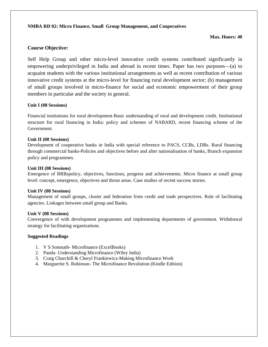#### **NMBA RD 02: Micro Finance, Small Group Management, and Cooperatives**

#### **Max. Hours: 40**

### **Course Objective:**

Self Help Group and other micro-level innovative credit systems contributed significantly in empowering underprivileged in India and abroad in recent times. Paper has two purposes—(a) to acquaint students with the various institutional arrangements as well as recent contribution of various innovative credit systems at the micro-level for financing rural development sector; (b) management of small groups involved in micro-finance for social and economic empowerment of their group members in particular and the society in general.

#### **Unit I (08 Sessions)**

Financial institutions for rural development-Basic understanding of rural and development credit. Institutional structure for rural financing in India: policy and schemes of NABARD, recent financing scheme of the Government.

#### **Unit II (08 Sessions)**

Development of cooperative banks in India with special reference to PACS, CCBs, LDBs. Rural financing through commercial banks-Policies and objectives before and after nationalisation of banks, Branch expansion policy and programmes.

#### **Unit III (08 Sessions)**

Emergence of RRBspolicy, objectives, functions, progress and achievements. Micro finance at small group level: concept, emergence, objectives and thrust areas. Case studies of recent success stories.

#### **Unit IV (08 Sessions)**

Management of small groups, cluster and federation from credit and trade perspectives. Role of facilitating agencies. Linkages between small group and Banks.

#### **Unit V (08 Sessions)**

Convergence of with development programmes and implementing departments of government. Withdrawal strategy for facilitating organizations.

#### **Suggested Readings**

- 1. V S Somnath- Microfinance (ExcelBooks)
- 2. Panda- Understanding Microfinance (Wiley India)
- 3. Craig Churchill & Cheryl Frankiewicz-Making Microfinance Work
- 4. Marguerite S. Robinson- The Microfinance Revolution (Kindle Edition)